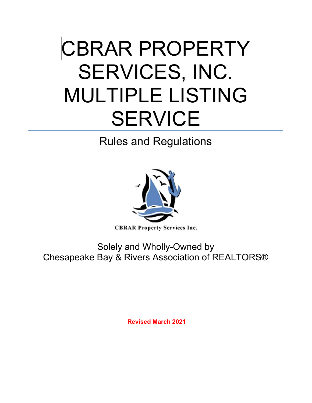# CBRAR PROPERTY SERVICES, INC. MULTIPLE LISTING **SERVICE**

Rules and Regulations



**CBRAR Property Services Inc.** 

Solely and Wholly-Owned by Chesapeake Bay & Rivers Association of REALTORS®

Revised March 2021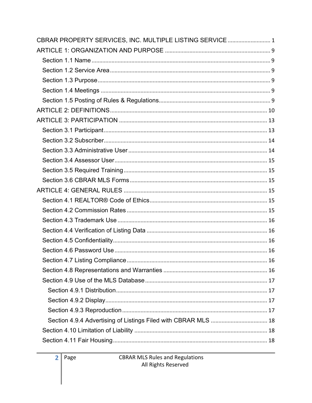| CBRAR PROPERTY SERVICES, INC. MULTIPLE LISTING SERVICE 1 |
|----------------------------------------------------------|
|                                                          |
|                                                          |
|                                                          |
|                                                          |
|                                                          |
|                                                          |
|                                                          |
|                                                          |
|                                                          |
|                                                          |
|                                                          |
|                                                          |
|                                                          |
|                                                          |
|                                                          |
|                                                          |
|                                                          |
|                                                          |
|                                                          |
|                                                          |
|                                                          |
|                                                          |
|                                                          |
|                                                          |
|                                                          |
|                                                          |
|                                                          |
|                                                          |
|                                                          |
|                                                          |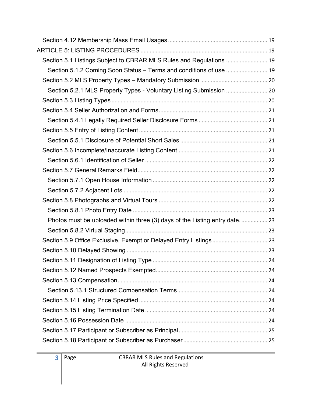| Section 5.1 Listings Subject to CBRAR MLS Rules and Regulations  19        |  |
|----------------------------------------------------------------------------|--|
| Section 5.1.2 Coming Soon Status - Terms and conditions of use  19         |  |
|                                                                            |  |
|                                                                            |  |
|                                                                            |  |
|                                                                            |  |
|                                                                            |  |
|                                                                            |  |
|                                                                            |  |
|                                                                            |  |
|                                                                            |  |
|                                                                            |  |
|                                                                            |  |
|                                                                            |  |
|                                                                            |  |
|                                                                            |  |
| Photos must be uploaded within three (3) days of the Listing entry date 23 |  |
|                                                                            |  |
|                                                                            |  |
|                                                                            |  |
|                                                                            |  |
|                                                                            |  |
|                                                                            |  |
|                                                                            |  |
|                                                                            |  |
|                                                                            |  |
|                                                                            |  |
|                                                                            |  |
|                                                                            |  |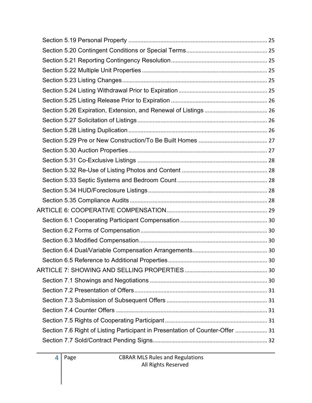| Section 7.6 Right of Listing Participant in Presentation of Counter-Offer  31 |
|-------------------------------------------------------------------------------|
|                                                                               |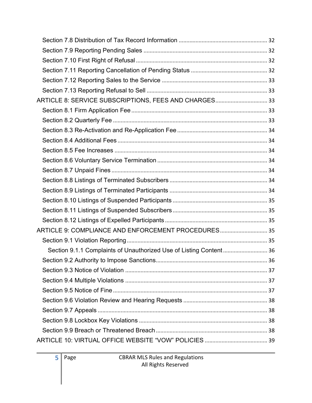| ARTICLE 8: SERVICE SUBSCRIPTIONS, FEES AND CHARGES 33              |  |
|--------------------------------------------------------------------|--|
|                                                                    |  |
|                                                                    |  |
|                                                                    |  |
|                                                                    |  |
|                                                                    |  |
|                                                                    |  |
|                                                                    |  |
|                                                                    |  |
|                                                                    |  |
|                                                                    |  |
|                                                                    |  |
|                                                                    |  |
| ARTICLE 9: COMPLIANCE AND ENFORCEMENT PROCEDURES 35                |  |
|                                                                    |  |
| Section 9.1.1 Complaints of Unauthorized Use of Listing Content 36 |  |
|                                                                    |  |
|                                                                    |  |
|                                                                    |  |
|                                                                    |  |
|                                                                    |  |
|                                                                    |  |
|                                                                    |  |
|                                                                    |  |
|                                                                    |  |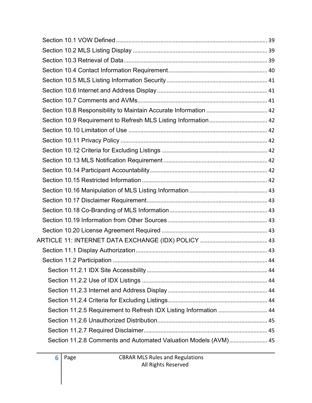| Section 11.2.5 Requirement to Refresh IDX Listing Information  44 |  |
|-------------------------------------------------------------------|--|
|                                                                   |  |
|                                                                   |  |
| Section 11.2.8 Comments and Automated Valuation Models (AVM) 45   |  |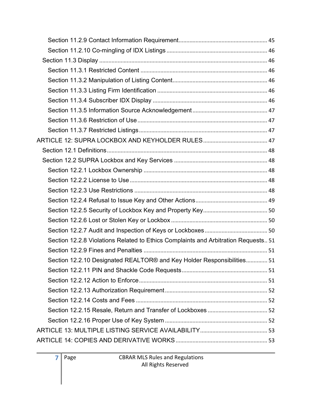| Section 12.2.8 Violations Related to Ethics Complaints and Arbitration Requests 51 |  |
|------------------------------------------------------------------------------------|--|
|                                                                                    |  |
| Section 12.2.10 Designated REALTOR® and Key Holder Responsibilities 51             |  |
|                                                                                    |  |
|                                                                                    |  |
|                                                                                    |  |
|                                                                                    |  |
|                                                                                    |  |
|                                                                                    |  |
|                                                                                    |  |
|                                                                                    |  |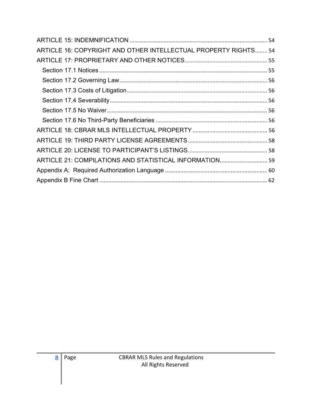| ARTICLE 16: COPYRIGHT AND OTHER INTELLECTUAL PROPERTY RIGHTS 54 |  |
|-----------------------------------------------------------------|--|
|                                                                 |  |
|                                                                 |  |
|                                                                 |  |
|                                                                 |  |
|                                                                 |  |
|                                                                 |  |
|                                                                 |  |
|                                                                 |  |
|                                                                 |  |
|                                                                 |  |
|                                                                 |  |
|                                                                 |  |
|                                                                 |  |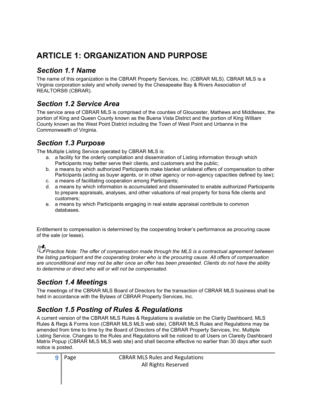# ARTICLE 1: ORGANIZATION AND PURPOSE

#### Section 1.1 Name

The name of this organization is the CBRAR Property Services, Inc. (CBRAR MLS). CBRAR MLS is a Virginia corporation solely and wholly owned by the Chesapeake Bay & Rivers Association of REALTORS® (CBRAR).

#### Section 1.2 Service Area

The service area of CBRAR MLS is comprised of the counties of Gloucester, Mathews and Middlesex, the portion of King and Queen County known as the Buena Vista District and the portion of King William County known as the West Point District including the Town of West Point and Urbanna in the Commonwealth of Virginia.

#### Section 1.3 Purpose

The Multiple Listing Service operated by CBRAR MLS is:

- a. a facility for the orderly compilation and dissemination of Listing information through which Participants may better serve their clients, and customers and the public;
- b. a means by which authorized Participants make blanket unilateral offers of compensation to other Participants (acting as buyer agents, or in other agency or non-agency capacities defined by law);
- c. a means of facilitating cooperation among Participants;
- d. a means by which information is accumulated and disseminated to enable authorized Participants to prepare appraisals, analyses, and other valuations of real property for bona fide clients and customers;
- e. a means by which Participants engaging in real estate appraisal contribute to common databases.

Entitlement to compensation is determined by the cooperating broker's performance as procuring cause of the sale (or lease).

Practice Note: The offer of compensation made through the MLS is a contractual agreement between the listing participant and the cooperating broker who is the procuring cause. All offers of compensation are unconditional and may not be alter once an offer has been presented. Clients do not have the ability to determine or direct who will or will not be compensated.

# Section 1.4 Meetings

The meetings of the CBRAR MLS Board of Directors for the transaction of CBRAR MLS business shall be held in accordance with the Bylaws of CBRAR Property Services, Inc.

#### Section 1.5 Posting of Rules & Regulations

A current version of the CBRAR MLS Rules & Regulations is available on the Clarity Dashboard, MLS Rules & Regs & Forms Icon (CBRAR MLS MLS web site). CBRAR MLS Rules and Regulations may be amended from time to time by the Board of Directors of the CBRAR Property Services, Inc. Multiple Listing Service. Changes to the Rules and Regulations will be noticed to all Users on Clareity Dashboard Matrix Popup (CBRAR MLS MLS web site) and shall become effective no earlier than 30 days after such notice is posted.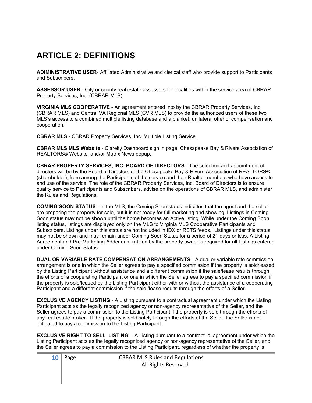# ARTICLE 2: DEFINITIONS

ADIMINISTRATIVE USER- Affiliated Administrative and clerical staff who provide support to Participants and Subscribers.

ASSESSOR USER - City or county real estate assessors for localities within the service area of CBRAR Property Services, Inc. (CBRAR MLS)

VIRGINIA MLS COOPERATIVE - An agreement entered into by the CBRAR Property Services, Inc. (CBRAR MLS) and Central VA Regional MLS (CVR MLS) to provide the authorized users of these two MLS's access to a combined multiple listing database and a blanket, unilateral offer of compensation and cooperation.

CBRAR MLS - CBRAR Property Services, Inc. Multiple Listing Service.

CBRAR MLS MLS Website - Clareity Dashboard sign in page, Chesapeake Bay & Rivers Association of REALTORS® Website, and/or Matrix News popup.

CBRAR PROPERTY SERVICES, INC. BOARD OF DIRECTORS - The selection and appointment of directors will be by the Board of Directors of the Chesapeake Bay & Rivers Association of REALTORS® (shareholder), from among the Participants of the service and their Realtor members who have access to and use of the service. The role of the CBRAR Property Services, Inc. Board of Directors is to ensure quality service to Participants and Subscribers, advise on the operations of CBRAR MLS, and administer the Rules and Regulations.

COMING SOON STATUS - In the MLS, the Coming Soon status indicates that the agent and the seller are preparing the property for sale, but it is not ready for full marketing and showing. Listings in Coming Soon status may not be shown until the home becomes an Active listing. While under the Coming Soon listing status, listings are displayed only on the MLS to Virginia MLS Cooperative Participants and Subscribers. Listings under this status are not included in IDX or RETS feeds. Listings under this status may not be shown and may remain under Coming Soon Status for a period of 21 days or less. A Listing Agreement and Pre-Marketing Addendum ratified by the property owner is required for all Listings entered under Coming Soon Status.

DUAL OR VARIABLE RATE COMPENSATION ARRANGEMENTS - A dual or variable rate commission arrangement is one in which the Seller agrees to pay a specified commission if the property is sold/leased by the Listing Participant without assistance and a different commission if the sale/lease results through the efforts of a cooperating Participant or one in which the Seller agrees to pay a specified commission if the property is sold/leased by the Listing Participant either with or without the assistance of a cooperating Participant and a different commission if the sale /lease results through the efforts of a Seller.

EXCLUSIVE AGENCY LISTING - A Listing pursuant to a contractual agreement under which the Listing Participant acts as the legally recognized agency or non-agency representative of the Seller, and the Seller agrees to pay a commission to the Listing Participant if the property is sold through the efforts of any real estate broker. If the property is sold solely through the efforts of the Seller, the Seller is not obligated to pay a commission to the Listing Participant.

EXCLUSIVE RIGHT TO SELL LISTING - A Listing pursuant to a contractual agreement under which the Listing Participant acts as the legally recognized agency or non-agency representative of the Seller, and the Seller agrees to pay a commission to the Listing Participant, regardless of whether the property is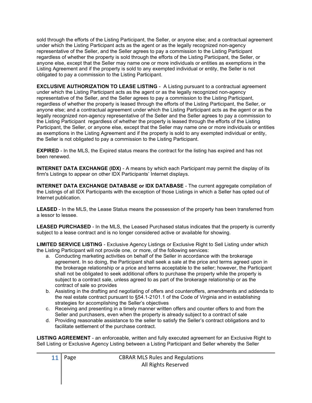sold through the efforts of the Listing Participant, the Seller, or anyone else; and a contractual agreement under which the Listing Participant acts as the agent or as the legally recognized non-agency representative of the Seller, and the Seller agrees to pay a commission to the Listing Participant regardless of whether the property is sold through the efforts of the Listing Participant, the Seller, or anyone else, except that the Seller may name one or more individuals or entities as exemptions in the Listing Agreement and if the property is sold to any exempted individual or entity, the Seller is not obligated to pay a commission to the Listing Participant.

EXCLUSIVE AUTHORIZATION TO LEASE LISTING - A Listing pursuant to a contractual agreement under which the Listing Participant acts as the agent or as the legally recognized non-agency representative of the Seller, and the Seller agrees to pay a commission to the Listing Participant, regardless of whether the property is leased through the efforts of the Listing Participant, the Seller, or anyone else; and a contractual agreement under which the Listing Participant acts as the agent or as the legally recognized non-agency representative of the Seller and the Seller agrees to pay a commission to the Listing Participant regardless of whether the property is leased through the efforts of the Listing Participant, the Seller, or anyone else, except that the Seller may name one or more individuals or entities as exemptions in the Listing Agreement and if the property is sold to any exempted individual or entity, the Seller is not obligated to pay a commission to the Listing Participant.

EXPIRED - In the MLS, the Expired status means the contract for the listing has expired and has not been renewed.

**INTERNET DATA EXCHANGE (IDX)** - A means by which each Participant may permit the display of its firm's Listings to appear on other IDX Participants' Internet displays.

INTERNET DATA EXCHANGE DATABASE or IDX DATABASE - The current aggregate compilation of the Listings of all IDX Participants with the exception of those Listings in which a Seller has opted out of Internet publication.

LEASED - In the MLS, the Lease Status means the possession of the property has been transferred from a lessor to lessee.

LEASED PURCHASED - In the MLS, the Leased Purchased status indicates that the property is currently subject to a lease contract and is no longer considered active or available for showing.

LIMITED SERVICE LISTING - Exclusive Agency Listings or Exclusive Right to Sell Listing under which the Listing Participant will not provide one, or more, of the following services:

- a. Conducting marketing activities on behalf of the Seller in accordance with the brokerage agreement. In so doing, the Participant shall seek a sale at the price and terms agreed upon in the brokerage relationship or a price and terms acceptable to the seller; however, the Participant shall not be obligated to seek additional offers to purchase the property while the property is subject to a contract sale, unless agreed to as part of the brokerage relationship or as the contract of sale so provides
- b. Assisting in the drafting and negotiating of offers and counteroffers, amendments and addenda to the real estate contract pursuant to §54.1-2101.1 of the Code of Virginia and in establishing strategies for accomplishing the Seller's objectives
- c. Receiving and presenting in a timely manner written offers and counter offers to and from the Seller and purchasers, even when the property is already subject to a contract of sale
- d. Providing reasonable assistance to the seller to satisfy the Seller's contract obligations and to facilitate settlement of the purchase contract.

LISTING AGREEMENT - an enforceable, written and fully executed agreement for an Exclusive Right to Sell Listing or Exclusive Agency Listing between a Listing Participant and Seller whereby the Seller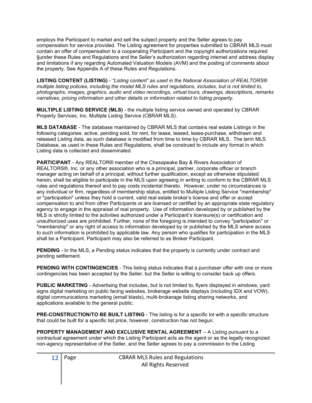employs the Participant to market and sell the subject property and the Seller agrees to pay compensation for service provided. The Listing agreement for properties submitted to CBRAR MLS must contain an offer of compensation to a cooperating Participant and the copyright authorizations required §under these Rules and Regulations and the Seller's authorization regarding internet and address display and limitations if any regarding Automated Valuation Models (AVM) and the posting of comments about the property. See Appendix A of these Rules and Regulations.

LISTING CONTENT (LISTING) - "Listing content" as used in the National Association of REALTORS® multiple listing policies, including the model MLS rules and regulations, includes, but is not limited to, photographs, images, graphics, audio and video recordings, virtual tours, drawings, descriptions, remarks narratives, pricing information and other details or information related to listing property.

MULTIPLE LISTING SERVICE (MLS) - the multiple listing service owned and operated by CBRAR Property Services, Inc. Multiple Listing Service (CBRAR MLS).

MLS DATABASE - The database maintained by CBRAR MLS that contains real estate Listings in the following categories: active, pending sold, for rent, for lease, leased, lease-purchase, withdrawn and released Listing data, as such database is modified from time to time by CBRAR MLS. The term MLS Database, as used in these Rules and Regulations, shall be construed to include any format in which Listing data is collected and disseminated.

PARTICIPANT - Any REALTOR® member of the Chesapeake Bay & Rivers Association of REALTORS®, Inc. or any other association who is a principal, partner, corporate officer or branch manager acting on behalf of a principal, without further qualification, except as otherwise stipulated herein, shall be eligible to participate in the MLS upon agreeing in writing to conform to the CBRAR MLS rules and regulations thereof and to pay costs incidental thereto. However, under no circumstances is any individual or firm, regardless of membership status, entitled to Multiple Listing Service "membership" or "participation" unless they hold a current, valid real estate broker's license and offer or accept compensation to and from other Participants or are licensed or certified by an appropriate state regulatory agency to engage in the appraisal of real property. Use of information developed by or published by the MLS is strictly limited to the activities authorized under a Participant's licensure(s) or certification and unauthorized uses are prohibited. Further, none of the foregoing is intended to convey "participation" or "membership" or any right of access to information developed by or published by the MLS where access to such information is prohibited by applicable law. Any person who qualifies for participation in the MLS shall be a Participant. Participant may also be referred to as Broker Participant.

PENDING - In the MLS, a Pending status indicates that the property is currently under contract and pending settlement.

**PENDING WITH CONTINGENCIES** - This listing status indicates that a purchaser offer with one or more contingencies has been accepted by the Seller, but the Seller is willing to consider back up offers.

PUBLIC MARKETING - Advertising that includes, but is not limited to, flyers displayed in windows, yard signs digital marketing on public facing websites, brokerage website displays (including IDX and VOW), digital communications marketing (email blasts), multi-brokerage listing sharing networks, and applications available to the general public.

PRE-CONSTRUCTION/TO BE BUILT LISTING - The listing is for a specific lot with a specific structure that could be built for a specific list price, however, construction has not begun.

PROPERTY MANAGEMENT AND EXCLUSIVE RENTAL AGREEMENT – A Listing pursuant to a contractual agreement under which the Listing Participant acts as the agent or as the legally recognized non-agency representative of the Seller, and the Seller agrees to pay a commission to the Listing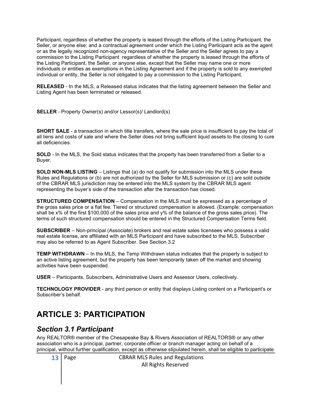Participant, regardless of whether the property is leased through the efforts of the Listing Participant, the Seller, or anyone else; and a contractual agreement under which the Listing Participant acts as the agent or as the legally recognized non-agency representative of the Seller and the Seller agrees to pay a commission to the Listing Participant regardless of whether the property is leased through the efforts of the Listing Participant, the Seller, or anyone else, except that the Seller may name one or more individuals or entities as exemptions in the Listing Agreement and if the property is sold to any exempted individual or entity, the Seller is not obligated to pay a commission to the Listing Participant.

RELEASED - In the MLS, a Released status indicates that the listing agreement between the Seller and Listing Agent has been terminated or released.

SELLER - Property Owner(s) and/or Lessor(s)/ Landlord(s)

SHORT SALE - a transaction in which title transfers, where the sale price is insufficient to pay the total of all liens and costs of sale and where the Seller does not bring sufficient liquid assets to the closing to cure all deficiencies.

SOLD - In the MLS, the Sold status indicates that the property has been transferred from a Seller to a Buyer.

SOLD NON-MLS LISTING – Listings that (a) do not qualify for submission into the MLS under these Rules and Regulations or (b) are not authorized by the Seller for MLS submission or (c) are sold outside of the CBRAR MLS jurisdiction may be entered into the MLS system by the CBRAR MLS agent representing the buyer's side of the transaction after the transaction has closed.

STRUCTURED COMPENSATION – Compensation in the MLS must be expressed as a percentage of the gross sales price or a flat fee. Tiered or structured compensation is allowed. (Example: compensation shall be x% of the first \$100,000 of the sales price and y% of the balance of the gross sales price). The terms of such structured compensation should be entered in the Structured Compensation Terms field.

SUBSCRIBER – Non-principal (Associate) brokers and real estate sales licensees who possess a valid real estate license, are affiliated with an MLS Participant and have subscribed to the MLS. Subscriber may also be referred to as Agent Subscriber. See Section 3.2

TEMP WITHDRAWN – In the MLS, the Temp Withdrawn status indicates that the property is subject to an active listing agreement, but the property has been temporarily taken off the market and showing activities have been suspended.

USER – Participants, Subscribers, Administrative Users and Assessor Users, collectively.

TECHNOLOGY PROVIDER - any third person or entity that displays Listing content on a Participant's or Subscriber's behalf.

# ARTICLE 3: PARTICIPATION

#### Section 3.1 Participant

Any REALTOR® member of the Chesapeake Bay & Rivers Association of REALTORS® or any other association who is a principal, partner, corporate officer or branch manager acting on behalf of a principal, without further qualification, except as otherwise stipulated herein, shall be eligible to participate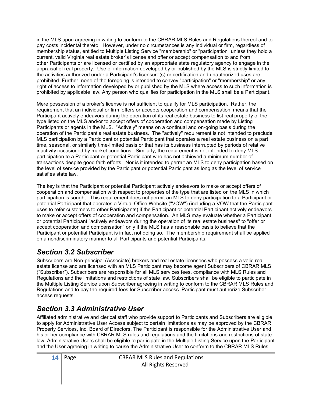in the MLS upon agreeing in writing to conform to the CBRAR MLS Rules and Regulations thereof and to pay costs incidental thereto. However, under no circumstances is any individual or firm, regardless of membership status, entitled to Multiple Listing Service "membership" or "participation" unless they hold a current, valid Virginia real estate broker's license and offer or accept compensation to and from other Participants or are licensed or certified by an appropriate state regulatory agency to engage in the appraisal of real property. Use of information developed by or published by the MLS is strictly limited to the activities authorized under a Participant's licensure(s) or certification and unauthorized uses are prohibited. Further, none of the foregoing is intended to convey "participation" or "membership" or any right of access to information developed by or published by the MLS where access to such information is prohibited by applicable law. Any person who qualifies for participation in the MLS shall be a Participant.

Mere possession of a broker's license is not sufficient to qualify for MLS participation. Rather, the requirement that an individual or firm 'offers or accepts cooperation and compensation' means that the Participant actively endeavors during the operation of its real estate business to list real property of the type listed on the MLS and/or to accept offers of cooperation and compensation made by Listing Participants or agents in the MLS. "Actively" means on a continual and on-going basis during the operation of the Participant's real estate business. The "actively" requirement is not intended to preclude MLS participation by a Participant or potential Participant that operates a real estate business on a part time, seasonal, or similarly time-limited basis or that has its business interrupted by periods of relative inactivity occasioned by market conditions. Similarly, the requirement is not intended to deny MLS participation to a Participant or potential Participant who has not achieved a minimum number of transactions despite good faith efforts. Nor is it intended to permit an MLS to deny participation based on the level of service provided by the Participant or potential Participant as long as the level of service satisfies state law.

The key is that the Participant or potential Participant actively endeavors to make or accept offers of cooperation and compensation with respect to properties of the type that are listed on the MLS in which participation is sought. This requirement does not permit an MLS to deny participation to a Participant or potential Participant that operates a Virtual Office Website ("VOW") (including a VOW that the Participant uses to refer customers to other Participants) if the Participant or potential Participant actively endeavors to make or accept offers of cooperation and compensation. An MLS may evaluate whether a Participant or potential Participant "actively endeavors during the operation of its real estate business" to "offer or accept cooperation and compensation" only if the MLS has a reasonable basis to believe that the Participant or potential Participant is in fact not doing so. The membership requirement shall be applied on a nondiscriminatory manner to all Participants and potential Participants.

# Section 3.2 Subscriber

Subscribers are Non-principal (Associate) brokers and real estate licensees who possess a valid real estate license and are licensed with an MLS Participant may become agent Subscribers of CBRAR MLS ("Subscriber"). Subscribers are responsible for all MLS services fees, compliance with MLS Rules and Regulations and the limitations and restrictions of state law. Subscribers shall be eligible to participate in the Multiple Listing Service upon Subscriber agreeing in writing to conform to the CBRAR MLS Rules and Regulations and to pay the required fees for Subscriber access. Participant must authorize Subscriber access requests.

# Section 3.3 Administrative User

Affiliated administrative and clerical staff who provide support to Participants and Subscribers are eligible to apply for Administrative User Access subject to certain limitations as may be approved by the CBRAR Property Services, Inc. Board of Directors. The Participant is responsible for the Administrative User and his or her compliance with CBRAR MLS rules and regulations and the limitations and restrictions of state law. Administrative Users shall be eligible to participate in the Multiple Listing Service upon the Participant and the User agreeing in writing to cause the Administrative User to conform to the CBRAR MLS Rules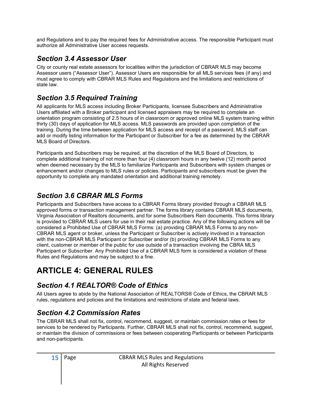and Regulations and to pay the required fees for Administrative access. The responsible Participant must authorize all Administrative User access requests.

#### Section 3.4 Assessor User

City or county real estate assessors for localities within the jurisdiction of CBRAR MLS may become Assessor users ("Assessor User"). Assessor Users are responsible for all MLS services fees (if any) and must agree to comply with CBRAR MLS Rules and Regulations and the limitations and restrictions of state law.

#### Section 3.5 Required Training

All applicants for MLS access including Broker Participants, licensee Subscribers and Administrative Users affiliated with a Broker participant and licensed appraisers may be required to complete an orientation program consisting of 2.5 hours of in classroom or approved online MLS system training within thirty (30) days of application for MLS access. MLS passwords are provided upon completion of the training. During the time between application for MLS access and receipt of a password, MLS staff can add or modify listing information for the Participant or Subscriber for a fee as determined by the CBRAR MLS Board of Directors.

Participants and Subscribers may be required, at the discretion of the MLS Board of Directors, to complete additional training of not more than four (4) classroom hours in any twelve (12) month period when deemed necessary by the MLS to familiarize Participants and Subscribers with system changes or enhancement and/or changes to MLS rules or policies. Participants and subscribers must be given the opportunity to complete any mandated orientation and additional training remotely.

# Section 3.6 CBRAR MLS Forms

Participants and Subscribers have access to a CBRAR Forms library provided through a CBRAR MLS approved forms or transaction management partner. The forms library contains CBRAR MLS documents, Virginia Association of Realtors documents, and for some Subscribers Rein documents. This forms library is provided to CBRAR MLS users for use in their real estate practice. Any of the following actions will be considered a Prohibited Use of CBRAR MLS Forms: (a) providing CBRAR MLS Forms to any non-CBRAR MLS agent or broker, unless the Participant or Subscriber is actively involved in a transaction with the non-CBRAR MLS Participant or Subscriber and/or (b) providing CBRAR MLS Forms to any client, customer or member of the public for use outside of a transaction involving the CBRA MLS Participant or Subscriber. Any Prohibited Use of a CBRAR MLS form is considered a violation of these Rules and Regulations and may be subject to a fine.

# ARTICLE 4: GENERAL RULES

# Section 4.1 REALTOR® Code of Ethics

All Users agree to abide by the National Association of REALTORS® Code of Ethics, the CBRAR MLS rules, regulations and policies and the limitations and restrictions of state and federal laws.

# Section 4.2 Commission Rates

The CBRAR MLS shall not fix, control, recommend, suggest, or maintain commission rates or fees for services to be rendered by Participants. Further, CBRAR MLS shall not fix, control, recommend, suggest, or maintain the division of commissions or fees between cooperating Participants or between Participants and non-participants.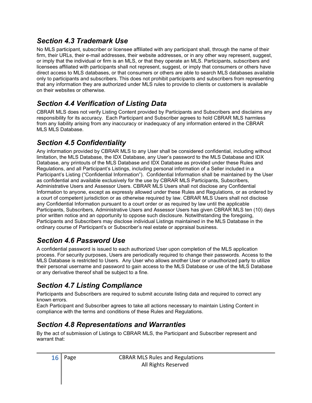#### Section 4.3 Trademark Use

No MLS participant, subscriber or licensee affiliated with any participant shall, through the name of their firm, their URLs, their e-mail addresses, their website addresses, or in any other way represent, suggest, or imply that the individual or firm is an MLS, or that they operate an MLS. Participants, subscribers and licensees affiliated with participants shall not represent, suggest, or imply that consumers or others have direct access to MLS databases, or that consumers or others are able to search MLS databases available only to participants and subscribers. This does not prohibit participants and subscribers from representing that any information they are authorized under MLS rules to provide to clients or customers is available on their websites or otherwise.

# Section 4.4 Verification of Listing Data

CBRAR MLS does not verify Listing Content provided by Participants and Subscribers and disclaims any responsibility for its accuracy. Each Participant and Subscriber agrees to hold CBRAR MLS harmless from any liability arising from any inaccuracy or inadequacy of any information entered in the CBRAR MLS MLS Database.

# Section 4.5 Confidentiality

Any information provided by CBRAR MLS to any User shall be considered confidential, including without limitation, the MLS Database, the IDX Database, any User's password to the MLS Database and IDX Database, any printouts of the MLS Database and IDX Database as provided under these Rules and Regulations, and all Participant's Listings, including personal information of a Seller included in a Participant's Listing ("Confidential Information"). Confidential Information shall be maintained by the User as confidential and available exclusively for the use by CBRAR MLS Participants, Subscribers, Administrative Users and Assessor Users. CBRAR MLS Users shall not disclose any Confidential Information to anyone, except as expressly allowed under these Rules and Regulations, or as ordered by a court of competent jurisdiction or as otherwise required by law. CBRAR MLS Users shall not disclose any Confidential Information pursuant to a court order or as required by law until the applicable Participants, Subscribers, Administrative Users and Assessor Users has given CBRAR MLS ten (10) days prior written notice and an opportunity to oppose such disclosure. Notwithstanding the foregoing, Participants and Subscribers may disclose individual Listings maintained in the MLS Database in the ordinary course of Participant's or Subscriber's real estate or appraisal business.

# Section 4.6 Password Use

A confidential password is issued to each authorized User upon completion of the MLS application process. For security purposes, Users are periodically required to change their passwords. Access to the MLS Database is restricted to Users. Any User who allows another User or unauthorized party to utilize their personal username and password to gain access to the MLS Database or use of the MLS Database or any derivative thereof shall be subject to a fine.

# Section 4.7 Listing Compliance

Participants and Subscribers are required to submit accurate listing data and required to correct any known errors.

Each Participant and Subscriber agrees to take all actions necessary to maintain Listing Content in compliance with the terms and conditions of these Rules and Regulations.

# Section 4.8 Representations and Warranties

By the act of submission of Listings to CBRAR MLS, the Participant and Subscriber represent and warrant that: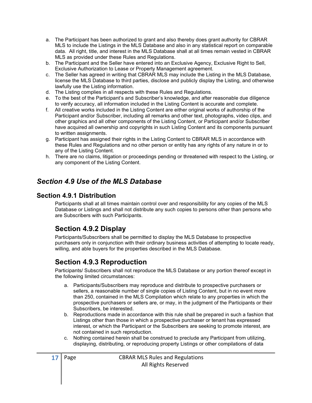- a. The Participant has been authorized to grant and also thereby does grant authority for CBRAR MLS to include the Listings in the MLS Database and also in any statistical report on comparable data. All right, title, and interest in the MLS Database shall at all times remain vested in CBRAR MLS as provided under these Rules and Regulations.
- b. The Participant and the Seller have entered into an Exclusive Agency, Exclusive Right to Sell, Exclusive Authorization to Lease or Property Management agreement.
- c. The Seller has agreed in writing that CBRAR MLS may include the Listing in the MLS Database, license the MLS Database to third parties, disclose and publicly display the Listing, and otherwise lawfully use the Listing information.
- d. The Listing complies in all respects with these Rules and Regulations.
- e. To the best of the Participant's and Subscriber's knowledge, and after reasonable due diligence to verify accuracy, all information included in the Listing Content is accurate and complete.
- f. All creative works included in the Listing Content are either original works of authorship of the Participant and/or Subscriber, including all remarks and other text, photographs, video clips, and other graphics and all other components of the Listing Content, or Participant and/or Subscriber have acquired all ownership and copyrights in such Listing Content and its components pursuant to written assignments.
- g. Participant has assigned their rights in the Listing Content to CBRAR MLS in accordance with these Rules and Regulations and no other person or entity has any rights of any nature in or to any of the Listing Content.
- h. There are no claims, litigation or proceedings pending or threatened with respect to the Listing, or any component of the Listing Content.

#### Section 4.9 Use of the MLS Database

#### Section 4.9.1 Distribution

Participants shall at all times maintain control over and responsibility for any copies of the MLS Database or Listings and shall not distribute any such copies to persons other than persons who are Subscribers with such Participants.

#### Section 4.9.2 Display

Participants/Subscribers shall be permitted to display the MLS Database to prospective purchasers only in conjunction with their ordinary business activities of attempting to locate ready, willing, and able buyers for the properties described in the MLS Database.

#### Section 4.9.3 Reproduction

Participants/ Subscribers shall not reproduce the MLS Database or any portion thereof except in the following limited circumstances:

- a. Participants/Subscribers may reproduce and distribute to prospective purchasers or sellers, a reasonable number of single copies of Listing Content, but in no event more than 250, contained in the MLS Compilation which relate to any properties in which the prospective purchasers or sellers are, or may, in the judgment of the Participants or their Subscribers, be interested.
- b. Reproductions made in accordance with this rule shall be prepared in such a fashion that Listings other than those in which a prospective purchaser or tenant has expressed interest, or which the Participant or the Subscribers are seeking to promote interest, are not contained in such reproduction.
- c. Nothing contained herein shall be construed to preclude any Participant from utilizing, displaying, distributing, or reproducing property Listings or other compilations of data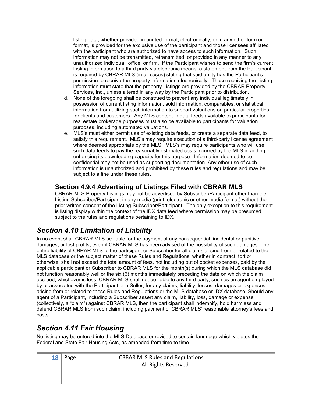listing data, whether provided in printed format, electronically, or in any other form or format, is provided for the exclusive use of the participant and those licensees affiliated with the participant who are authorized to have access to such information. Such information may not be transmitted, retransmitted, or provided in any manner to any unauthorized individual, office, or firm. If the Participant wishes to send the firm's current Listing information to a third party via electronic means, a statement from the Participant is required by CBRAR MLS (in all cases) stating that said entity has the Participant's permission to receive the property information electronically. Those receiving the Listing information must state that the property Listings are provided by the CBRAR Property Services, Inc., unless altered in any way by the Participant prior to distribution.

- d. None of the foregoing shall be construed to prevent any individual legitimately in possession of current listing information, sold information, comparables, or statistical information from utilizing such information to support valuations on particular properties for clients and customers. Any MLS content in data feeds available to participants for real estate brokerage purposes must also be available to participants for valuation purposes, including automated valuations.
- e. MLS's must either permit use of existing data feeds, or create a separate data feed, to satisfy this requirement. MLS's may require execution of a third-party license agreement where deemed appropriate by the MLS. MLS's may require participants who will use such data feeds to pay the reasonably estimated costs incurred by the MLS in adding or enhancing its downloading capacity for this purpose. Information deemed to be confidential may not be used as supporting documentation. Any other use of such information is unauthorized and prohibited by these rules and regulations and may be subject to a fine under these rules.

#### Section 4.9.4 Advertising of Listings Filed with CBRAR MLS

CBRAR MLS Property Listings may not be advertised by Subscriber/Participant other than the Listing Subscriber/Participant in any media (print, electronic or other media format) without the prior written consent of the Listing Subscriber/Participant. The only exception to this requirement is listing display within the context of the IDX data feed where permission may be presumed, subject to the rules and regulations pertaining to IDX.

#### Section 4.10 Limitation of Liability

In no event shall CBRAR MLS be liable for the payment of any consequential, incidental or punitive damages, or lost profits, even if CBRAR MLS has been advised of the possibility of such damages. The entire liability of CBRAR MLS to the participant or Subscriber for all claims arising from or related to the MLS database or the subject matter of these Rules and Regulations, whether in contract, tort or otherwise, shall not exceed the total amount of fees, not including out of pocket expenses, paid by the applicable participant or Subscriber to CBRAR MLS for the month(s) during which the MLS database did not function reasonably well or the six (6) months immediately preceding the date on which the claim accrued, whichever is less. CBRAR MLS shall not be liable to any third party, such as an agent employed by or associated with the Participant or a Seller, for any claims, liability, losses, damages or expenses arising from or related to these Rules and Regulations or the MLS database or IDX database. Should any agent of a Participant, including a Subscriber assert any claim, liability, loss, damage or expense (collectively, a "claim") against CBRAR MLS, then the participant shall indemnify, hold harmless and defend CBRAR MLS from such claim, including payment of CBRAR MLS' reasonable attorney's fees and costs.

#### Section 4.11 Fair Housing

No listing may be entered into the MLS Database or revised to contain language which violates the Federal and State Fair Housing Acts, as amended from time to time.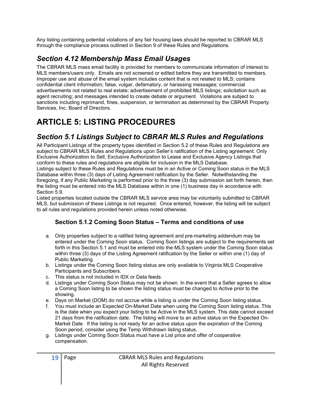Any listing containing potential violations of any fair housing laws should be reported to CBRAR MLS through the compliance process outlined in Section 9 of these Rules and Regulations.

# Section 4.12 Membership Mass Email Usages

The CBRAR MLS mass email facility is provided for members to communicate information of interest to MLS members/users only. Emails are not screened or edited before they are transmitted to members. Improper use and abuse of the email system includes content that is not related to MLS; contains confidential client information; false, vulgar, defamatory, or harassing messages; commercial advertisements not related to real estate; advertisement of prohibited MLS listings; solicitation such as agent recruiting; and messages intended to create debate or argument. Violations are subject to sanctions including reprimand, fines, suspension, or termination as determined by the CBRAR Property Services, Inc. Board of Directors.

# ARTICLE 5: LISTING PROCEDURES

#### Section 5.1 Listings Subject to CBRAR MLS Rules and Regulations

All Participant Listings of the property types identified in Section 5.2 of these Rules and Regulations are subject to CBRAR MLS Rules and Regulations upon Seller's ratification of the Listing agreement. Only Exclusive Authorization to Sell, Exclusive Authorization to Lease and Exclusive Agency Listings that conform to these rules and regulations are eligible for inclusion in the MLS Database.

Listings subject to these Rules and Regulations must be in an Active or Coming Soon status in the MLS Database within three (3) days of Listing Agreement ratification by the Seller. Notwithstanding the foregoing, if any Public Marketing is performed prior to the three (3) day submission set forth herein, then the listing must be entered into the MLS Database within in one (1) business day in accordance with Section 5.9.

Listed properties located outside the CBRAR MLS service area may be voluntarily submitted to CBRAR MLS, but submission of these Listings is not required. Once entered, however, the listing will be subject to all rules and regulations provided herein unless noted otherwise.

#### Section 5.1.2 Coming Soon Status – Terms and conditions of use

- a. Only properties subject to a ratified listing agreement and pre-marketing addendum may be entered under the Coming Soon status. Coming Soon listings are subject to the requirements set forth in this Section 5.1 and must be entered into the MLS system under the Coming Soon status within three (3) days of the Listing Agreement ratification by the Seller or within one (1) day of Public Marketing.
- b. Listings under the Coming Soon listing status are only available to Virginia MLS Cooperative Participants and Subscribers.
- c. This status is not included in IDX or Data feeds.
- d. Listings under Coming Soon Status may not be shown. In the event that a Seller agrees to allow a Coming Soon listing to be shown the listing status must be changed to Active prior to the showing.
- e. Days on Market (DOM) do not accrue while a listing is under the Coming Soon listing status.
- f. You must include an Expected On-Market Date when using the Coming Soon listing status. This is the date when you expect your listing to be Active in the MLS system. This date cannot exceed 21 days from the ratification date. The listing will move to an active status on the Expected On-Market Date. If the listing is not ready for an active status upon the expiration of the Coming Soon period, consider using the Temp Withdrawn listing status.
- g. Listings under Coming Soon Status must have a List price and offer of cooperative compensation.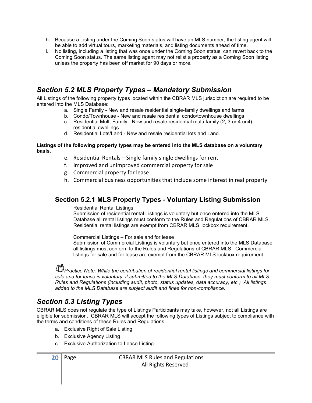- h. Because a Listing under the Coming Soon status will have an MLS number, the listing agent will be able to add virtual tours, marketing materials, and listing documents ahead of time.
- i. No listing, including a listing that was once under the Coming Soon status, can revert back to the Coming Soon status. The same listing agent may not relist a property as a Coming Soon listing unless the property has been off market for 90 days or more.

#### Section 5.2 MLS Property Types – Mandatory Submission

All Listings of the following property types located within the CBRAR MLS jurisdiction are required to be entered into the MLS Database:

- a. Single Family New and resale residential single-family dwellings and farms
- b. Condo/Townhouse New and resale residential condo/townhouse dwellings
- c. Residential Multi-Family New and resale residential multi-family (2, 3 or 4 unit) residential dwellings.
- d. Residential Lots/Land New and resale residential lots and Land.

#### Listings of the following property types may be entered into the MLS database on a voluntary basis.

- e. Residential Rentals Single family single dwellings for rent
- f. Improved and unimproved commercial property for sale
- g. Commercial property for lease
- h. Commercial business opportunities that include some interest in real property

#### Section 5.2.1 MLS Property Types - Voluntary Listing Submission

Residential Rental Listings

 Submission of residential rental Listings is voluntary but once entered into the MLS Database all rental listings must conform to the Rules and Regulations of CBRAR MLS. Residential rental listings are exempt from CBRAR MLS lockbox requirement.

Commercial Listings – For sale and for lease

 Submission of Commercial Listings is voluntary but once entered into the MLS Database all listings must conform to the Rules and Regulations of CBRAR MLS. Commercial listings for sale and for lease are exempt from the CBRAR MLS lockbox requirement.

Practice Note: While the contribution of residential rental listings and commercial listings for sale and for lease is voluntary, if submitted to the MLS Database, they must conform to all MLS Rules and Regulations (including audit, photo, status updates, data accuracy, etc.) All listings added to the MLS Database are subject audit and fines for non-compliance.

#### Section 5.3 Listing Types

CBRAR MLS does not regulate the type of Listings Participants may take, however, not all Listings are eligible for submission. CBRAR MLS will accept the following types of Listings subject to compliance with the terms and conditions of these Rules and Regulations.

- a. Exclusive Right of Sale Listing
- b. Exclusive Agency Listing
- c. Exclusive Authorization to Lease Listing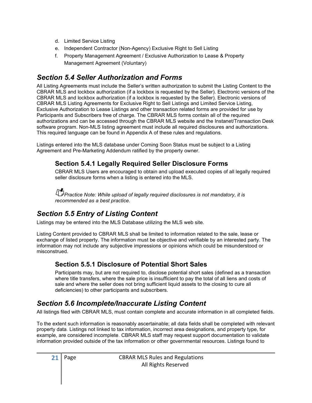- d. Limited Service Listing
- e. Independent Contractor (Non-Agency) Exclusive Right to Sell Listing
- f. Property Management Agreement / Exclusive Authorization to Lease & Property Management Agreement (Voluntary)

#### Section 5.4 Seller Authorization and Forms

All Listing Agreements must include the Seller's written authorization to submit the Listing Content to the CBRAR MLS and lockbox authorization (if a lockbox is requested by the Seller). Electronic versions of the CBRAR MLS and lockbox authorization (if a lockbox is requested by the Seller). Electronic versions of CBRAR MLS Listing Agreements for Exclusive Right to Sell Listings and Limited Service Listing, Exclusive Authorization to Lease Listings and other transaction related forms are provided for use by Participants and Subscribers free of charge. The CBRAR MLS forms contain all of the required authorizations and can be accessed through the CBRAR MLS website and the Instanet/Transaction Desk software program. Non-MLS listing agreement must include all required disclosures and authorizations. This required language can be found in Appendix A of these rules and regulations.

Listings entered into the MLS database under Coming Soon Status must be subject to a Listing Agreement and Pre-Marketing Addendum ratified by the property owner.

#### Section 5.4.1 Legally Required Seller Disclosure Forms

CBRAR MLS Users are encouraged to obtain and upload executed copies of all legally required seller disclosure forms when a listing is entered into the MLS.

**Practice Note: While upload of legally required disclosures is not mandatory, it is** recommended as a best practice.

# Section 5.5 Entry of Listing Content

Listings may be entered into the MLS Database utilizing the MLS web site.

Listing Content provided to CBRAR MLS shall be limited to information related to the sale, lease or exchange of listed property. The information must be objective and verifiable by an interested party. The information may not include any subjective impressions or opinions which could be misunderstood or misconstrued.

#### Section 5.5.1 Disclosure of Potential Short Sales

Participants may, but are not required to, disclose potential short sales (defined as a transaction where title transfers, where the sale price is insufficient to pay the total of all liens and costs of sale and where the seller does not bring sufficient liquid assets to the closing to cure all deficiencies) to other participants and subscribers.

# Section 5.6 Incomplete/Inaccurate Listing Content

All listings filed with CBRAR MLS, must contain complete and accurate information in all completed fields.

To the extent such information is reasonably ascertainable; all data fields shall be completed with relevant property data. Listings not linked to tax information, incorrect area designations, and property type, for example, are considered incomplete. CBRAR MLS staff may request support documentation to validate information provided outside of the tax information or other governmental resources. Listings found to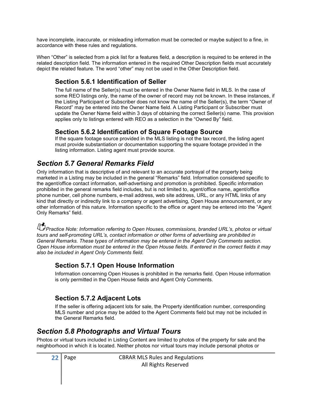have incomplete, inaccurate, or misleading information must be corrected or maybe subject to a fine, in accordance with these rules and regulations.

When "Other" is selected from a pick list for a features field, a description is required to be entered in the related description field. The information entered in the required Other Description fields must accurately depict the related feature. The word "other" may not be used in the Other Description field.

#### Section 5.6.1 Identification of Seller

The full name of the Seller(s) must be entered in the Owner Name field in MLS. In the case of some REO listings only, the name of the owner of record may not be known. In these instances, if the Listing Participant or Subscriber does not know the name of the Seller(s), the term "Owner of Record" may be entered into the Owner Name field. A Listing Participant or Subscriber must update the Owner Name field within 3 days of obtaining the correct Seller(s) name. This provision applies only to listings entered with REO as a selection in the "Owned By" field.

#### Section 5.6.2 Identification of Square Footage Source

If the square footage source provided in the MLS listing is not the tax record, the listing agent must provide substantiation or documentation supporting the square footage provided in the listing information. Listing agent must provide source.

# Section 5.7 General Remarks Field

Only information that is descriptive of and relevant to an accurate portrayal of the property being marketed in a Listing may be included in the general "Remarks" field. Information considered specific to the agent/office contact information, self-advertising and promotion is prohibited. Specific information prohibited in the general remarks field includes, but is not limited to, agent/office name, agent/office phone number, cell phone numbers, e-mail address, web site address, URL, or any HTML links of any kind that directly or indirectly link to a company or agent advertising, Open House announcement, or any other information of this nature. Information specific to the office or agent may be entered into the "Agent Only Remarks" field.

Practice Note: Information referring to Open Houses, commissions, branded URL's, photos or virtual tours and self-promoting URL's, contact information or other forms of advertising are prohibited in General Remarks. These types of information may be entered in the Agent Only Comments section. Open House information must be entered in the Open House fields. If entered in the correct fields it may also be included in Agent Only Comments field.

#### Section 5.7.1 Open House Information

Information concerning Open Houses is prohibited in the remarks field. Open House information is only permitted in the Open House fields and Agent Only Comments.

#### Section 5.7.2 Adjacent Lots

If the seller is offering adjacent lots for sale, the Property identification number, corresponding MLS number and price may be added to the Agent Comments field but may not be included in the General Remarks field.

#### Section 5.8 Photographs and Virtual Tours

Photos or virtual tours included in Listing Content are limited to photos of the property for sale and the neighborhood in which it is located. Neither photos nor virtual tours may include personal photos or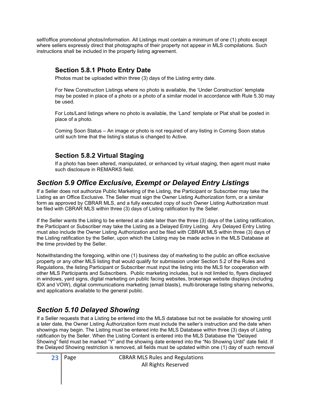self/office promotional photos/information. All Listings must contain a minimum of one (1) photo except where sellers expressly direct that photographs of their property not appear in MLS compilations. Such instructions shall be included in the property listing agreement.

#### Section 5.8.1 Photo Entry Date

Photos must be uploaded within three (3) days of the Listing entry date.

 For New Construction Listings where no photo is available, the 'Under Construction' template may be posted in place of a photo or a photo of a similar model in accordance with Rule 5.30 may be used.

 For Lots/Land listings where no photo is available, the 'Land' template or Plat shall be posted in place of a photo.

 Coming Soon Status – An image or photo is not required of any listing in Coming Soon status until such time that the listing's status is changed to Active.

#### Section 5.8.2 Virtual Staging

If a photo has been altered, manipulated, or enhanced by virtual staging, then agent must make such disclosure in REMARKS field.

#### Section 5.9 Office Exclusive, Exempt or Delayed Entry Listings

If a Seller does not authorize Public Marketing of the Listing, the Participant or Subscriber may take the Listing as an Office Exclusive. The Seller must sign the Owner Listing Authorization form, or a similar form as approved by CBRAR MLS, and a fully executed copy of such Owner Listing Authorization must be filed with CBRAR MLS within three (3) days of Listing ratification by the Seller.

If the Seller wants the Listing to be entered at a date later than the three (3) days of the Listing ratification, the Participant or Subscriber may take the Listing as a Delayed Entry Listing. Any Delayed Entry Listing must also include the Owner Listing Authorization and be filed with CBRAR MLS within three (3) days of the Listing ratification by the Seller, upon which the Listing may be made active in the MLS Database at the time provided by the Seller.

Notwithstanding the foregoing, within one (1) business day of marketing to the public an office exclusive property or any other MLS listing that would qualify for submission under Section 5.2 of the Rules and Regulations, the listing Participant or Subscriber must input the listing into the MLS for cooperation with other MLS Participants and Subscribers. Public marketing includes, but is not limited to, flyers displayed in windows, yard signs, digital marketing on public facing websites, brokerage website displays (including IDX and VOW), digital communications marketing (email blasts), multi-brokerage listing sharing networks, and applications available to the general public.

#### Section 5.10 Delayed Showing

If a Seller requests that a Listing be entered into the MLS database but not be available for showing until a later date, the Owner Listing Authorization form must include the seller's instruction and the date when showings may begin. The Listing must be entered into the MLS Database within three (3) days of Listing ratification by the Seller. When the Listing Content is entered into the MLS Database the "Delayed Showing" field must be marked "Y" and the showing date entered into the "No Showing Until" date field. If the Delayed Showing restriction is removed, all fields must be updated within one (1) day of such removal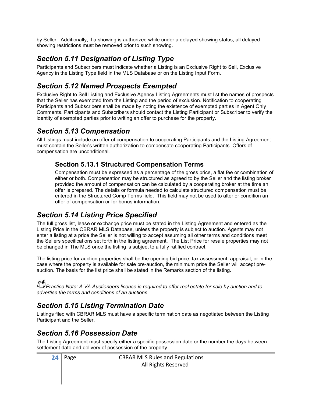by Seller. Additionally, if a showing is authorized while under a delayed showing status, all delayed showing restrictions must be removed prior to such showing.

# Section 5.11 Designation of Listing Type

Participants and Subscribers must indicate whether a Listing is an Exclusive Right to Sell, Exclusive Agency in the Listing Type field in the MLS Database or on the Listing Input Form.

# Section 5.12 Named Prospects Exempted

Exclusive Right to Sell Listing and Exclusive Agency Listing Agreements must list the names of prospects that the Seller has exempted from the Listing and the period of exclusion. Notification to cooperating Participants and Subscribers shall be made by noting the existence of exempted parties in Agent Only Comments. Participants and Subscribers should contact the Listing Participant or Subscriber to verify the identity of exempted parties prior to writing an offer to purchase for the property.

# Section 5.13 Compensation

All Listings must include an offer of compensation to cooperating Participants and the Listing Agreement must contain the Seller's written authorization to compensate cooperating Participants. Offers of compensation are unconditional.

#### Section 5.13.1 Structured Compensation Terms

Compensation must be expressed as a percentage of the gross price, a flat fee or combination of either or both. Compensation may be structured as agreed to by the Seller and the listing broker provided the amount of compensation can be calculated by a cooperating broker at the time an offer is prepared. The details or formula needed to calculate structured compensation must be entered in the Structured Comp Terms field. This field may not be used to alter or condition an offer of compensation or for bonus information.

# Section 5.14 Listing Price Specified

The full gross list, lease or exchange price must be stated in the Listing Agreement and entered as the Listing Price in the CBRAR MLS Database, unless the property is subject to auction. Agents may not enter a listing at a price the Seller is not willing to accept assuming all other terms and conditions meet the Sellers specifications set forth in the listing agreement. The List Price for resale properties may not be changed in The MLS once the listing is subject to a fully ratified contract.

The listing price for auction properties shall be the opening bid price, tax assessment, appraisal, or in the case where the property is available for sale pre-auction, the minimum price the Seller will accept preauction. The basis for the list price shall be stated in the Remarks section of the listing.

**Practice Note: A VA Auctioneers license is required to offer real estate for sale by auction and to** advertise the terms and conditions of an auctions.

# Section 5.15 Listing Termination Date

Listings filed with CBRAR MLS must have a specific termination date as negotiated between the Listing Participant and the Seller.

# Section 5.16 Possession Date

The Listing Agreement must specify either a specific possession date or the number the days between settlement date and delivery of possession of the property.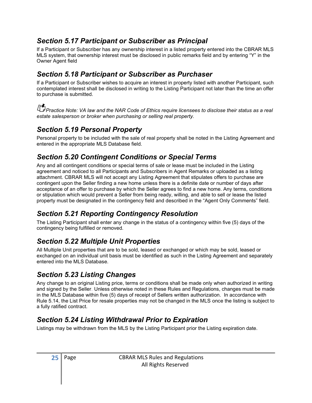#### Section 5.17 Participant or Subscriber as Principal

If a Participant or Subscriber has any ownership interest in a listed property entered into the CBRAR MLS MLS system, that ownership interest must be disclosed in public remarks field and by entering "Y" in the Owner Agent field

#### Section 5.18 Participant or Subscriber as Purchaser

If a Participant or Subscriber wishes to acquire an interest in property listed with another Participant, such contemplated interest shall be disclosed in writing to the Listing Participant not later than the time an offer to purchase is submitted.

Foractice Note: VA law and the NAR Code of Ethics require licensees to disclose their status as a real estate salesperson or broker when purchasing or selling real property.

#### Section 5.19 Personal Property

Personal property to be included with the sale of real property shall be noted in the Listing Agreement and entered in the appropriate MLS Database field.

# Section 5.20 Contingent Conditions or Special Terms

Any and all contingent conditions or special terms of sale or lease must be included in the Listing agreement and noticed to all Participants and Subscribers in Agent Remarks or uploaded as a listing attachment. CBRAR MLS will not accept any Listing Agreement that stipulates offers to purchase are contingent upon the Seller finding a new home unless there is a definite date or number of days after acceptance of an offer to purchase by which the Seller agrees to find a new home. Any terms, conditions or stipulation which would prevent a Seller from being ready, willing, and able to sell or lease the listed property must be designated in the contingency field and described in the "Agent Only Comments" field.

# Section 5.21 Reporting Contingency Resolution

The Listing Participant shall enter any change in the status of a contingency within five (5) days of the contingency being fulfilled or removed.

# Section 5.22 Multiple Unit Properties

All Multiple Unit properties that are to be sold, leased or exchanged or which may be sold, leased or exchanged on an individual unit basis must be identified as such in the Listing Agreement and separately entered into the MLS Database.

# Section 5.23 Listing Changes

Any change to an original Listing price, terms or conditions shall be made only when authorized in writing and signed by the Seller. Unless otherwise noted in these Rules and Regulations, changes must be made in the MLS Database within five (5) days of receipt of Sellers written authorization. In accordance with Rule 5.14, the List Price for resale properties may not be changed in the MLS once the listing is subject to a fully ratified contract.

# Section 5.24 Listing Withdrawal Prior to Expiration

Listings may be withdrawn from the MLS by the Listing Participant prior the Listing expiration date.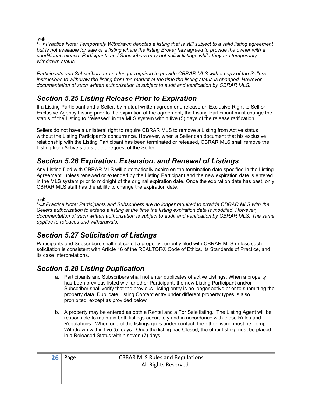**Practice Note: Temporarily Withdrawn denotes a listing that is still subject to a valid listing agreement** but is not available for sale or a listing where the listing Broker has agreed to provide the owner with a conditional release. Participants and Subscribers may not solicit listings while they are temporarily withdrawn status.

Participants and Subscribers are no longer required to provide CBRAR MLS with a copy of the Sellers instructions to withdraw the listing from the market at the time the listing status is changed. However, documentation of such written authorization is subject to audit and verification by CBRAR MLS.

#### Section 5.25 Listing Release Prior to Expiration

If a Listing Participant and a Seller, by mutual written agreement, release an Exclusive Right to Sell or Exclusive Agency Listing prior to the expiration of the agreement, the Listing Participant must change the status of the Listing to "released" in the MLS system within five (5) days of the release ratification.

Sellers do not have a unilateral right to require CBRAR MLS to remove a Listing from Active status without the Listing Participant's concurrence. However, when a Seller can document that his exclusive relationship with the Listing Participant has been terminated or released, CBRAR MLS shall remove the Listing from Active status at the request of the Seller.

#### Section 5.26 Expiration, Extension, and Renewal of Listings

Any Listing filed with CBRAR MLS will automatically expire on the termination date specified in the Listing Agreement, unless renewed or extended by the Listing Participant and the new expiration date is entered in the MLS system prior to midnight of the original expiration date. Once the expiration date has past, only CBRAR MLS staff has the ability to change the expiration date.

Practice Note: Participants and Subscribers are no longer required to provide CBRAR MLS with the Sellers authorization to extend a listing at the time the listing expiration date is modified. However, documentation of such written authorization is subject to audit and verification by CBRAR MLS. The same applies to releases and withdrawals.

#### Section 5.27 Solicitation of Listings

Participants and Subscribers shall not solicit a property currently filed with CBRAR MLS unless such solicitation is consistent with Article 16 of the REALTOR® Code of Ethics, its Standards of Practice, and its case Interpretations.

#### Section 5.28 Listing Duplication

- a. Participants and Subscribers shall not enter duplicates of active Listings. When a property has been previous listed with another Participant, the new Listing Participant and/or Subscriber shall verify that the previous Listing entry is no longer active prior to submitting the property data. Duplicate Listing Content entry under different property types is also prohibited, except as provided below
- b. A property may be entered as both a Rental and a For Sale listing. The Listing Agent will be responsible to maintain both listings accurately and in accordance with these Rules and Regulations. When one of the listings goes under contact, the other listing must be Temp Withdrawn within five (5) days. Once the listing has Closed, the other listing must be placed in a Released Status within seven (7) days.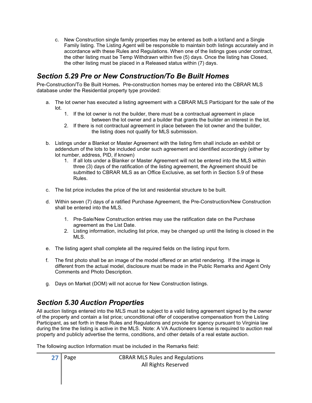c. New Construction single family properties may be entered as both a lot/land and a Single Family listing. The Listing Agent will be responsible to maintain both listings accurately and in accordance with these Rules and Regulations. When one of the listings goes under contract, the other listing must be Temp Withdrawn within five (5) days. Once the listing has Closed, the other listing must be placed in a Released status within (7) days.

#### Section 5.29 Pre or New Construction/To Be Built Homes

Pre-Construction/To Be Built Homes. Pre-construction homes may be entered into the CBRAR MLS database under the Residential property type provided:

- a. The lot owner has executed a listing agreement with a CBRAR MLS Participant for the sale of the lot.
	- 1. If the lot owner is not the builder, there must be a contractual agreement in place between the lot owner and a builder that grants the builder an interest in the lot.
	- 2. If there is not contractual agreement in place between the lot owner and the builder, the listing does not qualify for MLS submission.
- b. Listings under a Blanket or Master Agreement with the listing firm shall include an exhibit or addendum of the lots to be included under such agreement and identified accordingly (either by lot number, address, PID, if known)
	- 1. If all lots under a Blanker or Master Agreement will not be entered into the MLS within three (3) days of the ratification of the listing agreement, the Agreement should be submitted to CBRAR MLS as an Office Exclusive, as set forth in Section 5.9 of these Rules.
- c. The list price includes the price of the lot and residential structure to be built.
- d. Within seven (7) days of a ratified Purchase Agreement, the Pre-Construction/New Construction shall be entered into the MLS.
	- 1. Pre-Sale/New Construction entries may use the ratification date on the Purchase agreement as the List Date.
	- 2. Listing information, including list price, may be changed up until the listing is closed in the MLS.
- e. The listing agent shall complete all the required fields on the listing input form.
- f. The first photo shall be an image of the model offered or an artist rendering. If the image is different from the actual model, disclosure must be made in the Public Remarks and Agent Only Comments and Photo Description.
- g. Days on Market (DOM) will not accrue for New Construction listings.

#### Section 5.30 Auction Properties

All auction listings entered into the MLS must be subject to a valid listing agreement signed by the owner of the property and contain a list price; unconditional offer of cooperative compensation from the Listing Participant, as set forth in these Rules and Regulations and provide for agency pursuant to Virginia law during the time the listing is active in the MLS. Note: A VA Auctioneers license is required to auction real property and publicly advertise the terms, conditions, and other details of a real estate auction.

The following auction Information must be included in the Remarks field: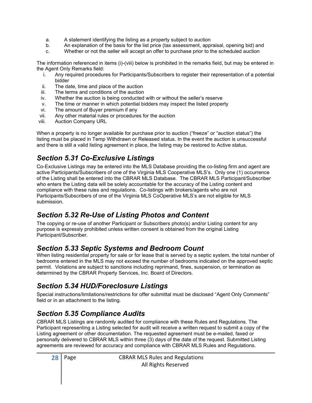- a. A statement identifying the listing as a property subject to auction
- b. An explanation of the basis for the list price (tax assessment, appraisal, opening bid) and
- c. Whether or not the seller will accept an offer to purchase prior to the scheduled auction

The information referenced in items (i)-(viii) below is prohibited in the remarks field, but may be entered in the Agent Only Remarks field:

- i. Any required procedures for Participants/Subscribers to register their representation of a potential bidder
- ii. The date, time and place of the auction
- iii. The terms and conditions of the auction
- iv. Whether the auction is being conducted with or without the seller's reserve
- v. The time or manner in which potential bidders may inspect the listed property
- vi. The amount of Buyer premium if any
- vii. Any other material rules or procedures for the auction
- viii. Auction Company URL

When a property is no longer available for purchase prior to auction ("freeze" or "auction status") the listing must be placed in Temp Withdrawn or Released status. In the event the auction is unsuccessful and there is still a valid listing agreement in place, the listing may be restored to Active status.

# Section 5.31 Co-Exclusive Listings

Co-Exclusive Listings may be entered into the MLS Database providing the co-listing firm and agent are active Participants/Subscribers of one of the Virginia MLS Cooperative MLS's. Only one (1) occurrence of the Listing shall be entered into the CBRAR MLS Database. The CBRAR MLS Participant/Subscriber who enters the Listing data will be solely accountable for the accuracy of the Listing content and compliance with these rules and regulations. Co-listings with brokers/agents who are not Participants/Subscribers of one of the Virginia MLS CoOperative MLS's are not eligible for MLS submission.

# Section 5.32 Re-Use of Listing Photos and Content

The copying or re-use of another Participant or Subscribers photo(s) and/or Listing content for any purpose is expressly prohibited unless written consent is obtained from the original Listing Participant/Subscriber.

# Section 5.33 Septic Systems and Bedroom Count

When listing residential property for sale or for lease that is served by a septic system, the total number of bedrooms entered in the MLS may not exceed the number of bedrooms indicated on the approved septic permit. Violations are subject to sanctions including reprimand, fines, suspension, or termination as determined by the CBRAR Property Services, Inc. Board of Directors.

# Section 5.34 HUD/Foreclosure Listings

Special instructions/limitations/restrictions for offer submittal must be disclosed "Agent Only Comments" field or in an attachment to the listing.

# Section 5.35 Compliance Audits

CBRAR MLS Listings are randomly audited for compliance with these Rules and Regulations. The Participant representing a Listing selected for audit will receive a written request to submit a copy of the Listing agreement or other documentation. The requested agreement must be e-mailed, faxed or personally delivered to CBRAR MLS within three (3) days of the date of the request. Submitted Listing agreements are reviewed for accuracy and compliance with CBRAR MLS Rules and Regulations.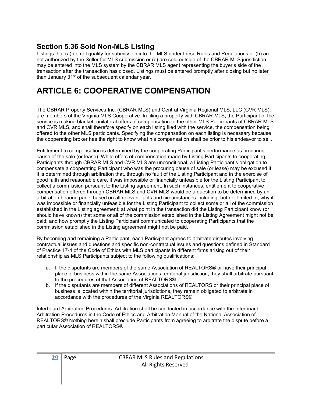#### Section 5.36 Sold Non-MLS Listing

Listings that (a) do not qualify for submission into the MLS under these Rules and Regulations or (b) are not authorized by the Seller for MLS submission or (c) are sold outside of the CBRAR MLS jurisdiction may be entered into the MLS system by the CBRAR MLS agent representing the buyer's side of the transaction after the transaction has closed. Listings must be entered promptly after closing but no later than January 31<sup>st</sup> of the subsequent calendar year.

# ARTICLE 6: COOPERATIVE COMPENSATION

The CBRAR Property Services Inc. (CBRAR MLS) and Central Virginia Regional MLS, LLC (CVR MLS), are members of the Virginia MLS Cooperative. In filing a property with CBRAR MLS, the Participant of the service is making blanket, unilateral offers of compensation to the other MLS Participants of CBRAR MLS and CVR MLS, and shall therefore specify on each listing filed with the service, the compensation being offered to the other MLS participants. Specifying the compensation on each listing is necessary because the cooperating broker has the right to know what his compensation shall be prior to his endeavor to sell.

Entitlement to compensation is determined by the cooperating Participant's performance as procuring cause of the sale (or lease). While offers of compensation made by Listing Participants to cooperating Participants through CBRAR MLS and CVR MLS are unconditional, a Listing Participant's obligation to compensate a cooperating Participant who was the procuring cause of sale (or lease) may be excused if it is determined through arbitration that, through no fault of the Listing Participant and in the exercise of good faith and reasonable care, it was impossible or financially unfeasible for the Listing Participant to collect a commission pursuant to the Listing agreement. In such instances, entitlement to cooperative compensation offered through CBRAR MLS and CVR MLS would be a question to be determined by an arbitration hearing panel based on all relevant facts and circumstances including, but not limited to, why it was impossible or financially unfeasible for the Listing Participant to collect some or all of the commission established in the Listing agreement; at what point in the transaction did the Listing Participant know (or should have known) that some or all of the commission established in the Listing Agreement might not be paid; and how promptly the Listing Participant communicated to cooperating Participants that the commission established in the Listing agreement might not be paid.

By becoming and remaining a Participant, each Participant agrees to arbitrate disputes involving contractual issues and questions and specific non-contractual issues and questions defined in Standard of Practice 17-4 of the Code of Ethics with MLS participants in different firms arising out of their relationship as MLS Participants subject to the following qualifications:

- a. If the disputants are members of the same Association of REALTORS® or have their principal place of business within the same Associations territorial jurisdiction, they shall arbitrate pursuant to the procedures of that Association of REALTORS®
- b. If the disputants are members of different Associations of REALTORS or their principal place of business is located within the territorial jurisdictions, they remain obligated to arbitrate in accordance with the procedures of the Virginia REALTORS®

Interboard Arbitration Procedures: Arbitration shall be conducted in accordance with the Interboard Arbitration Procedures in the Code of Ethics and Arbitration Manual of the National Association of REALTORS® Nothing herein shall preclude Participants from agreeing to arbitrate the dispute before a particular Association of REALTORS®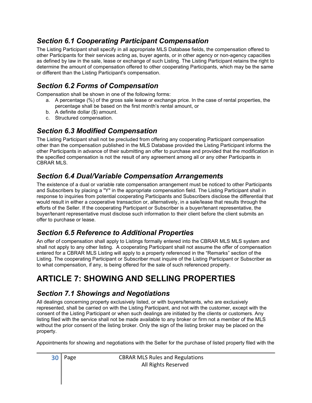#### Section 6.1 Cooperating Participant Compensation

The Listing Participant shall specify in all appropriate MLS Database fields, the compensation offered to other Participants for their services acting as, buyer agents, or in other agency or non-agency capacities as defined by law in the sale, lease or exchange of such Listing. The Listing Participant retains the right to determine the amount of compensation offered to other cooperating Participants, which may be the same or different than the Listing Participant's compensation.

# Section 6.2 Forms of Compensation

Compensation shall be shown in one of the following forms:

- a. A percentage (%) of the gross sale lease or exchange price. In the case of rental properties, the percentage shall be based on the first month's rental amount, or
- b. A definite dollar (\$) amount.
- c. Structured compensation.

# Section 6.3 Modified Compensation

The Listing Participant shall not be precluded from offering any cooperating Participant compensation other than the compensation published in the MLS Database provided the Listing Participant informs the other Participants in advance of their submitting an offer to purchase and provided that the modification in the specified compensation is not the result of any agreement among all or any other Participants in CBRAR MLS.

# Section 6.4 Dual/Variable Compensation Arrangements

The existence of a dual or variable rate compensation arrangement must be noticed to other Participants and Subscribers by placing a "Y" in the appropriate compensation field. The Listing Participant shall in response to inquiries from potential cooperating Participants and Subscribers disclose the differential that would result in either a cooperative transaction or, alternatively, in a sale/lease that results through the efforts of the Seller. If the cooperating Participant or Subscriber is a buyer/tenant representative, the buyer/tenant representative must disclose such information to their client before the client submits an offer to purchase or lease.

# Section 6.5 Reference to Additional Properties

An offer of compensation shall apply to Listings formally entered into the CBRAR MLS MLS system and shall not apply to any other listing. A cooperating Participant shall not assume the offer of compensation entered for a CBRAR MLS Listing will apply to a property referenced in the "Remarks" section of the Listing. The cooperating Participant or Subscriber must inquire of the Listing Participant or Subscriber as to what compensation, if any, is being offered for the sale of such referenced property.

# ARTICLE 7: SHOWING AND SELLING PROPERTIES

#### Section 7.1 Showings and Negotiations

All dealings concerning property exclusively listed, or with buyers/tenants, who are exclusively represented, shall be carried on with the Listing Participant, and not with the customer, except with the consent of the Listing Participant or when such dealings are initiated by the clients or customers. Any listing filed with the service shall not be made available to any broker or firm not a member of the MLS without the prior consent of the listing broker. Only the sign of the listing broker may be placed on the property.

Appointments for showing and negotiations with the Seller for the purchase of listed property filed with the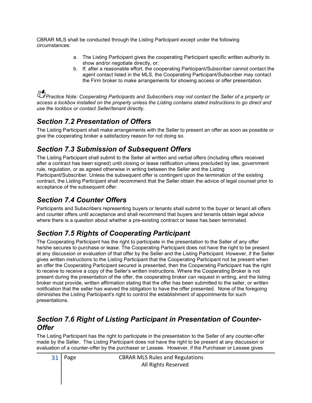CBRAR MLS shall be conducted through the Listing Participant except under the following circumstances:

- a. The Listing Participant gives the cooperating Participant specific written authority to show and/or negotiate directly, or;
- b. If, after a reasonable effort, the cooperating Participant/Subscriber cannot contact the agent contact listed in the MLS, the Cooperating Participant/Subscriber may contact the Firm broker to make arrangements for showing access or offer presentation.

Practice Note: Cooperating Participants and Subscribers may not contact the Seller of a property or access a lockbox installed on the property unless the Listing contains stated instructions to go direct and use the lockbox or contact Seller/tenant directly.

# Section 7.2 Presentation of Offers

The Listing Participant shall make arrangements with the Seller to present an offer as soon as possible or give the cooperating broker a satisfactory reason for not doing so.

# Section 7.3 Submission of Subsequent Offers

The Listing Participant shall submit to the Seller all written and verbal offers (including offers received after a contract has been signed) until closing or lease ratification unless precluded by law, government rule, regulation, or as agreed otherwise in writing between the Seller and the Listing Participant/Subscriber. Unless the subsequent offer is contingent upon the termination of the existing contract, the Listing Participant shall recommend that the Seller obtain the advice of legal counsel prior to acceptance of the subsequent offer.

# Section 7.4 Counter Offers

Participants and Subscribers representing buyers or tenants shall submit to the buyer or tenant all offers and counter offers until acceptance and shall recommend that buyers and tenants obtain legal advice where there is a question about whether a pre-existing contract or lease has been terminated.

# Section 7.5 Rights of Cooperating Participant

The Cooperating Participant has the right to participate in the presentation to the Seller of any offer he/she secures to purchase or lease. The Cooperating Participant does not have the right to be present at any discussion or evaluation of that offer by the Seller and the Listing Participant. However, if the Seller gives written instructions to the Listing Participant that the Cooperating Participant not be present when an offer the Cooperating Participant secured is presented, then the Cooperating Participant has the right to receive to receive a copy of the Seller's written instructions. Where the Cooperating Broker is not present during the presentation of the offer, the cooperating broker can request in writing, and the listing broker must provide, written affirmation stating that the offer has been submitted to the seller, or written notification that the seller has waived the obligation to have the offer presented. None of the foregoing diminishes the Listing Participant's right to control the establishment of appointments for such presentations.

#### Section 7.6 Right of Listing Participant in Presentation of Counter-**Offer**

The Listing Participant has the right to participate in the presentation to the Seller of any counter-offer made by the Seller. The Listing Participant does not have the right to be present at any discussion or evaluation of a counter-offer by the purchaser or Lessee. However, if the Purchaser or Lessee gives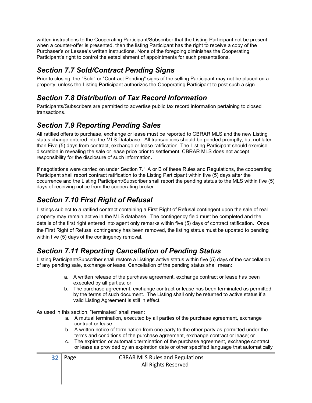written instructions to the Cooperating Participant/Subscriber that the Listing Participant not be present when a counter-offer is presented, then the listing Participant has the right to receive a copy of the Purchaser's or Lessee's written instructions. None of the foregoing diminishes the Cooperating Participant's right to control the establishment of appointments for such presentations.

#### Section 7.7 Sold/Contract Pending Signs

Prior to closing, the "Sold" or "Contract Pending" signs of the selling Participant may not be placed on a property, unless the Listing Participant authorizes the Cooperating Participant to post such a sign.

#### Section 7.8 Distribution of Tax Record Information

Participants/Subscribers are permitted to advertise public tax record information pertaining to closed transactions.

#### Section 7.9 Reporting Pending Sales

All ratified offers to purchase, exchange or lease must be reported to CBRAR MLS and the new Listing status change entered into the MLS Database. All transactions should be pended promptly, but not later than Five (5) days from contract, exchange or lease ratification. The Listing Participant should exercise discretion in revealing the sale or lease price prior to settlement. CBRAR MLS does not accept responsibility for the disclosure of such information.

If negotiations were carried on under Section 7.1 A or B of these Rules and Regulations, the cooperating Participant shall report contract ratification to the Listing Participant within five (5) days after the occurrence and the Listing Participant/Subscriber shall report the pending status to the MLS within five (5) days of receiving notice from the cooperating broker.

# Section 7.10 First Right of Refusal

Listings subject to a ratified contract containing a First Right of Refusal contingent upon the sale of real property may remain active in the MLS database. The contingency field must be completed and the details of the first right entered into agent only remarks within five (5) days of contract ratification. Once the First Right of Refusal contingency has been removed, the listing status must be updated to pending within five (5) days of the contingency removal.

# Section 7.11 Reporting Cancellation of Pending Status

Listing Participant/Subscriber shall restore a Listings active status within five (5) days of the cancellation of any pending sale, exchange or lease. Cancellation of the pending status shall mean:

- a. A written release of the purchase agreement, exchange contract or lease has been executed by all parties; or
- b. The purchase agreement, exchange contract or lease has been terminated as permitted by the terms of such document. The Listing shall only be returned to active status if a valid Listing Agreement is still in effect.

As used in this section, "terminated" shall mean:

- a. A mutual termination, executed by all parties of the purchase agreement, exchange contract or lease
- b. A written notice of termination from one party to the other party as permitted under the terms and conditions of the purchase agreement, exchange contract or lease; or
- c. The expiration or automatic termination of the purchase agreement, exchange contract or lease as provided by an expiration date or other specified language that automatically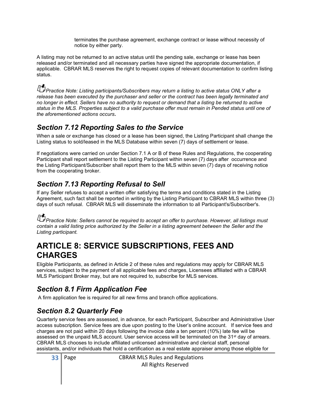terminates the purchase agreement, exchange contract or lease without necessity of notice by either party.

A listing may not be returned to an active status until the pending sale, exchange or lease has been released and/or terminated and all necessary parties have signed the appropriate documentation, if applicable. CBRAR MLS reserves the right to request copies of relevant documentation to confirm listing status.

For Practice Note: Listing participants/Subscribers may return a listing to active status ONLY after a release has been executed by the purchaser and seller or the contract has been legally terminated and no longer in effect. Sellers have no authority to request or demand that a listing be returned to active status in the MLS. Properties subject to a valid purchase offer must remain in Pended status until one of the aforementioned actions occurs.

#### Section 7.12 Reporting Sales to the Service

When a sale or exchange has closed or a lease has been signed, the Listing Participant shall change the Listing status to sold/leased in the MLS Database within seven (7) days of settlement or lease.

If negotiations were carried on under Section 7.1 A or B of these Rules and Regulations, the cooperating Participant shall report settlement to the Listing Participant within seven (7) days after occurrence and the Listing Participant/Subscriber shall report them to the MLS within seven (7) days of receiving notice from the cooperating broker.

# Section 7.13 Reporting Refusal to Sell

If any Seller refuses to accept a written offer satisfying the terms and conditions stated in the Listing Agreement, such fact shall be reported in writing by the Listing Participant to CBRAR MLS within three (3) days of such refusal. CBRAR MLS will disseminate the information to all Participant's/Subscriber's.

Practice Note: Sellers cannot be required to accept an offer to purchase. However, all listings must contain a valid listing price authorized by the Seller in a listing agreement between the Seller and the Listing participant.

# ARTICLE 8: SERVICE SUBSCRIPTIONS, FEES AND CHARGES

Eligible Participants, as defined in Article 2 of these rules and regulations may apply for CBRAR MLS services, subject to the payment of all applicable fees and charges, Licensees affiliated with a CBRAR MLS Participant Broker may, but are not required to, subscribe for MLS services.

# Section 8.1 Firm Application Fee

A firm application fee is required for all new firms and branch office applications.

#### Section 8.2 Quarterly Fee

Quarterly service fees are assessed, in advance, for each Participant, Subscriber and Administrative User access subscription. Service fees are due upon posting to the User's online account. If service fees and charges are not paid within 20 days following the invoice date a ten percent (10%) late fee will be assessed on the unpaid MLS account. User service access will be terminated on the 31<sup>st</sup> day of arrears. CBRAR MLS chooses to include affiliated unlicensed administrative and clerical staff, personal assistants, and/or individuals that hold a certification as a real estate appraiser among those eligible for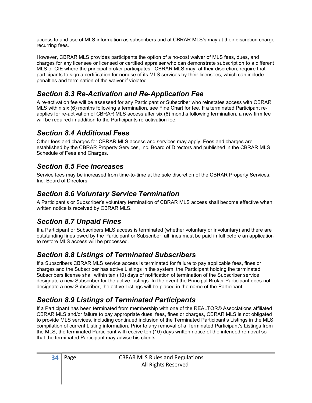access to and use of MLS information as subscribers and at CBRAR MLS's may at their discretion charge recurring fees.

However, CBRAR MLS provides participants the option of a no-cost waiver of MLS fees, dues, and charges for any licensee or licensed or certified appraiser who can demonstrate subscription to a different MLS or CIE where the principal broker participates. CBRAR MLS may, at their discretion, require that participants to sign a certification for nonuse of its MLS services by their licensees, which can include penalties and termination of the waiver if violated.

#### Section 8.3 Re-Activation and Re-Application Fee

A re-activation fee will be assessed for any Participant or Subscriber who reinstates access with CBRAR MLS within six (6) months following a termination, see Fine Chart for fee. If a terminated Participant reapplies for re-activation of CBRAR MLS access after six (6) months following termination, a new firm fee will be required in addition to the Participants re-activation fee.

#### Section 8.4 Additional Fees

Other fees and charges for CBRAR MLS access and services may apply. Fees and charges are established by the CBRAR Property Services, Inc. Board of Directors and published in the CBRAR MLS Schedule of Fees and Charges.

#### Section 8.5 Fee Increases

Service fees may be increased from time-to-time at the sole discretion of the CBRAR Property Services, Inc. Board of Directors.

#### Section 8.6 Voluntary Service Termination

A Participant's or Subscriber's voluntary termination of CBRAR MLS access shall become effective when written notice is received by CBRAR MLS.

#### Section 8.7 Unpaid Fines

If a Participant or Subscribers MLS access is terminated (whether voluntary or involuntary) and there are outstanding fines owed by the Participant or Subscriber, all fines must be paid in full before an application to restore MLS access will be processed.

#### Section 8.8 Listings of Terminated Subscribers

If a Subscribers CBRAR MLS service access is terminated for failure to pay applicable fees, fines or charges and the Subscriber has active Listings in the system, the Participant holding the terminated Subscribers license shall within ten (10) days of notification of termination of the Subscriber service designate a new Subscriber for the active Listings. In the event the Principal Broker Participant does not designate a new Subscriber, the active Listings will be placed in the name of the Participant.

# Section 8.9 Listings of Terminated Participants

If a Participant has been terminated from membership with one of the REALTOR® Associations affiliated CBRAR MLS and/or failure to pay appropriate dues, fees, fines or charges, CBRAR MLS is not obligated to provide MLS services, including continued inclusion of the Terminated Participant's Listings in the MLS compilation of current Listing information. Prior to any removal of a Terminated Participant's Listings from the MLS, the terminated Participant will receive ten (10) days written notice of the intended removal so that the terminated Participant may advise his clients.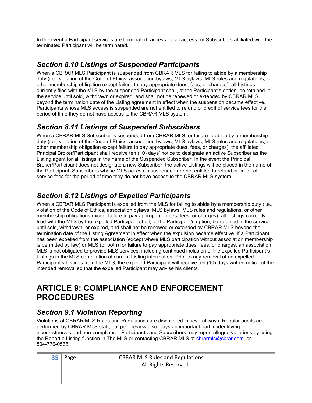In the event a Participant services are terminated, access for all access for Subscribers affiliated with the terminated Participant will be terminated.

# Section 8.10 Listings of Suspended Participants

When a CBRAR MLS Participant is suspended from CBRAR MLS for failing to abide by a membership duty (i.e., violation of the Code of Ethics, association bylaws, MLS bylaws, MLS rules and regulations, or other membership obligation except failure to pay appropriate dues, fees, or charges), all Listings currently filed with the MLS by the suspended Participant shall, at the Participant's option, be retained in the service until sold, withdrawn or expired, and shall not be renewed or extended by CBRAR MLS beyond the termination date of the Listing agreement in effect when the suspension became effective. Participants whose MLS access is suspended are not entitled to refund or credit of service fees for the period of time they do not have access to the CBRAR MLS system.

# Section 8.11 Listings of Suspended Subscribers

When a CBRAR MLS Subscriber is suspended from CBRAR MLS for failure to abide by a membership duty (i.e., violation of the Code of Ethics, association bylaws, MLS bylaws, MLS rules and regulations, or other membership obligation except failure to pay appropriate dues, fees, or charges), the affiliated Principal Broker/Participant shall receive ten (10) days' notice to designate an active Subscriber as the Listing agent for all listings in the name of the Suspended Subscriber. In the event the Principal Broker/Participant does not designate a new Subscriber, the active Listings will be placed in the name of the Participant. Subscribers whose MLS access is suspended are not entitled to refund or credit of service fees for the period of time they do not have access to the CBRAR MLS system.

# Section 8.12 Listings of Expelled Participants

When a CBRAR MLS Participant is expelled from the MLS for failing to abide by a membership duty (i.e., violation of the Code of Ethics, association bylaws, MLS bylaws, MLS rules and regulations, or other membership obligations except failure to pay appropriate dues, fees, or charges), all Listings currently filed with the MLS by the expelled Participant shall, at the Participant's option, be retained in the service until sold, withdrawn, or expired, and shall not be renewed or extended by CBRAR MLS beyond the termination date of the Listing Agreement in effect when the expulsion became effective. If a Participant has been expelled from the association (except where MLS participation without association membership is permitted by law) or MLS (or both) for failure to pay appropriate dues, fees, or charges, an association MLS is not obligated to provide MLS services, including continued inclusion of the expelled Participant's Listings in the MLS compilation of current Listing information. Prior to any removal of an expelled Participant's Listings from the MLS, the expelled Participant will receive ten (10) days written notice of the intended removal so that the expelled Participant may advise his clients.

# ARTICLE 9: COMPLIANCE AND ENFORCEMENT PROCEDURES

# Section 9.1 Violation Reporting

Violations of CBRAR MLS Rules and Regulations are discovered in several ways. Regular audits are performed by CBRAR MLS staff, but peer review also plays an important part in identifying inconsistencies and non-compliance. Participants and Subscribers may report alleged violations by using the Report a Listing function in The MLS or contacting CBRAR MLS at cbrarmls@cbrar.com or 804-776-0568.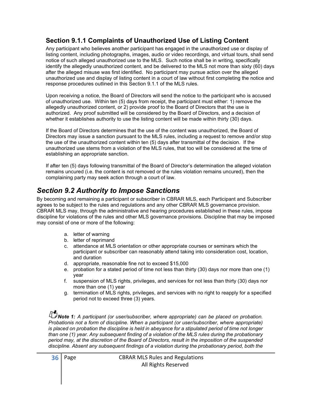#### Section 9.1.1 Complaints of Unauthorized Use of Listing Content

Any participant who believes another participant has engaged in the unauthorized use or display of listing content, including photographs, images, audio or video recordings, and virtual tours, shall send notice of such alleged unauthorized use to the MLS. Such notice shall be in writing, specifically identify the allegedly unauthorized content, and be delivered to the MLS not more than sixty (60) days after the alleged misuse was first identified. No participant may pursue action over the alleged unauthorized use and display of listing content in a court of law without first completing the notice and response procedures outlined in this Section 9.1.1 of the MLS rules.

Upon receiving a notice, the Board of Directors will send the notice to the participant who is accused of unauthorized use. Within ten (5) days from receipt, the participant must either: 1) remove the allegedly unauthorized content, or 2) provide proof to the Board of Directors that the use is authorized. Any proof submitted will be considered by the Board of Directors, and a decision of whether it establishes authority to use the listing content will be made within thirty (30) days.

If the Board of Directors determines that the use of the content was unauthorized, the Board of Directors may issue a sanction pursuant to the MLS rules, including a request to remove and/or stop the use of the unauthorized content within ten (5) days after transmittal of the decision. If the unauthorized use stems from a violation of the MLS rules, that too will be considered at the time of establishing an appropriate sanction.

If after ten (5) days following transmittal of the Board of Director's determination the alleged violation remains uncured (i.e. the content is not removed or the rules violation remains uncured), then the complaining party may seek action through a court of law.

# Section 9.2 Authority to Impose Sanctions

By becoming and remaining a participant or subscriber in CBRAR MLS, each Participant and Subscriber agrees to be subject to the rules and regulations and any other CBRAR MLS governance provision. CBRAR MLS may, through the administrative and hearing procedures established in these rules, impose discipline for violations of the rules and other MLS governance provisions. Discipline that may be imposed may consist of one or more of the following:

- a. letter of warning
- b. letter of reprimand
- c. attendance at MLS orientation or other appropriate courses or seminars which the participant or subscriber can reasonably attend taking into consideration cost, location, and duration
- d. appropriate, reasonable fine not to exceed \$15,000
- e. probation for a stated period of time not less than thirty (30) days nor more than one (1) year
- f. suspension of MLS rights, privileges, and services for not less than thirty (30) days nor more than one (1) year
- g. termination of MLS rights, privileges, and services with no right to reapply for a specified period not to exceed three (3) years.

Note 1: A participant (or user/subscriber, where appropriate) can be placed on probation. Probation is not a form of discipline. When a participant (or user/subscriber, where appropriate) is placed on probation the discipline is held in abeyance for a stipulated period of time not longer than one (1) year. Any subsequent finding of a violation of the MLS rules during the probationary period may, at the discretion of the Board of Directors, result in the imposition of the suspended discipline. Absent any subsequent findings of a violation during the probationary period, both the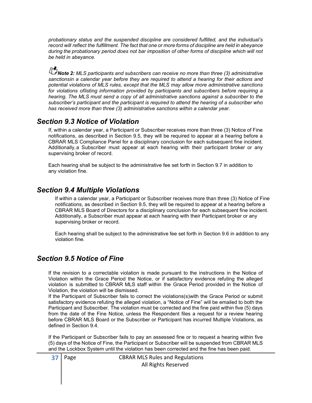probationary status and the suspended discipline are considered fulfilled, and the individual's record will reflect the fulfillment. The fact that one or more forms of discipline are held in abeyance during the probationary period does not bar imposition of other forms of discipline which will not be held in abeyance.

Note 2: MLS participants and subscribers can receive no more than three (3) administrative sanctionsin a calendar year before they are required to attend a hearing for their actions and potential violations of MLS rules, except that the MLS may allow more administrative sanctions for violations of listing information provided by participants and subscribers before requiring a hearing. The MLS must send a copy of all administrative sanctions against a subscriber to the subscriber's participant and the participant is required to attend the hearing of a subscriber who has received more than three (3) administrative sanctions within a calendar year.

#### Section 9.3 Notice of Violation

If, within a calendar year, a Participant or Subscriber receives more than three (3) Notice of Fine notifications, as described in Section 9.5, they will be required to appear at a hearing before a CBRAR MLS Compliance Panel for a disciplinary conclusion for each subsequent fine incident. Additionally, a Subscriber must appear at each hearing with their participant broker or any supervising broker of record.

Each hearing shall be subject to the administrative fee set forth in Section 9.7 in addition to any violation fine.

#### Section 9.4 Multiple Violations

 If within a calendar year, a Participant or Subscriber receives more than three (3) Notice of Fine notifications, as described in Section 9.5, they will be required to appear at a hearing before a CBRAR MLS Board of Directors for a disciplinary conclusion for each subsequent fine incident. Additionally, a Subscriber must appear at each hearing with their Participant broker or any supervising broker or record.

 Each hearing shall be subject to the administrative fee set forth in Section 9.6 in addition to any violation fine.

#### Section 9.5 Notice of Fine

If the revision to a correctable violation is made pursuant to the instructions in the Notice of Violation within the Grace Period the Notice, or if satisfactory evidence refuting the alleged violation is submitted to CBRAR MLS staff within the Grace Period provided in the Notice of Violation, the violation will be dismissed.

If the Participant of Subscriber fails to correct the violations(s)with the Grace Period or submit satisfactory evidence refuting the alleged violation, a "Notice of Fine" will be emailed to both the Participant and Subscriber. The violation must be corrected and the fine paid within five (5) days from the date of the Fine Notice, unless the Respondent files a request for a review hearing before CBRAR MLS Board or the Subscriber or Participant has incurred Multiple Violations, as defined in Section 9.4.

If the Participant or Subscriber fails to pay an assessed fine or to request a hearing within five (5) days of the Notice of Fine, the Participant or Subscriber will be suspended from CBRAR MLS and the Lockbox System until the violation has been corrected and the fine has been paid.

| $37$ Page | <b>CBRAR MLS Rules and Regulations</b> |
|-----------|----------------------------------------|
|           | All Rights Reserved                    |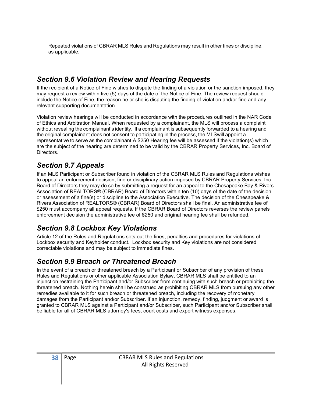Repeated violations of CBRAR MLS Rules and Regulations may result in other fines or discipline, as applicable.

#### Section 9.6 Violation Review and Hearing Requests

If the recipient of a Notice of Fine wishes to dispute the finding of a violation or the sanction imposed, they may request a review within five (5) days of the date of the Notice of Fine. The review request should include the Notice of Fine, the reason he or she is disputing the finding of violation and/or fine and any relevant supporting documentation.

Violation review hearings will be conducted in accordance with the procedures outlined in the NAR Code of Ethics and Arbitration Manual. When requested by a complainant, the MLS will process a complaint without revealing the complainant's identity. If a complainant is subsequently forwarded to a hearing and the original complainant does not consent to participating in the process, the MLS will appoint a representative to serve as the complainant A \$250 Hearing fee will be assessed if the violation(s) which are the subject of the hearing are determined to be valid by the CBRAR Property Services, Inc. Board of Directors.

#### Section 9.7 Appeals

If an MLS Participant or Subscriber found in violation of the CBRAR MLS Rules and Regulations wishes to appeal an enforcement decision, fine or disciplinary action imposed by CBRAR Property Services, Inc. Board of Directors they may do so by submitting a request for an appeal to the Chesapeake Bay & Rivers Association of REALTORS® (CBRAR) Board of Directors within ten (10) days of the date of the decision or assessment of a fine(s) or discipline to the Association Executive. The decision of the Chesapeake & Rivers Association of REALTORS® (CBRAR) Board of Directors shall be final. An administrative fee of \$250 must accompany all appeal requests. If the CBRAR Board of Directors reverses the review panels enforcement decision the administrative fee of \$250 and original hearing fee shall be refunded.

#### Section 9.8 Lockbox Key Violations

Article 12 of the Rules and Regulations sets out the fines, penalties and procedures for violations of Lockbox security and Keyholder conduct. Lockbox security and Key violations are not considered correctable violations and may be subject to immediate fines.

#### Section 9.9 Breach or Threatened Breach

In the event of a breach or threatened breach by a Participant or Subscriber of any provision of these Rules and Regulations or other applicable Association Bylaw, CBRAR MLS shall be entitled to an injunction restraining the Participant and/or Subscriber from continuing with such breach or prohibiting the threatened breach. Nothing herein shall be construed as prohibiting CBRAR MLS from pursuing any other remedies available to it for such breach or threatened breach, including the recovery of monetary damages from the Participant and/or Subscriber. If an injunction, remedy, finding, judgment or award is granted to CBRAR MLS against a Participant and/or Subscriber, such Participant and/or Subscriber shall be liable for all of CBRAR MLS attorney's fees, court costs and expert witness expenses.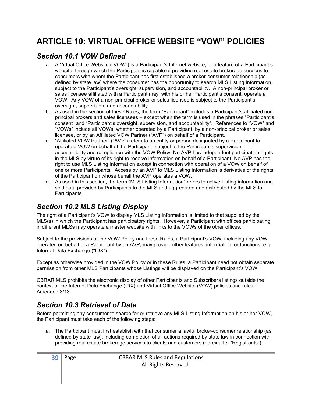# ARTICLE 10: VIRTUAL OFFICE WEBSITE "VOW" POLICIES

#### Section 10.1 VOW Defined

- a. A Virtual Office Website ("VOW") is a Participant's Internet website, or a feature of a Participant's website, through which the Participant is capable of providing real estate brokerage services to consumers with whom the Participant has first established a broker-consumer relationship (as defined by state law) where the consumer has the opportunity to search MLS Listing Information, subject to the Participant's oversight, supervision, and accountability. A non-principal broker or sales licensee affiliated with a Participant may, with his or her Participant's consent, operate a VOW. Any VOW of a non-principal broker or sales licensee is subject to the Participant's oversight, supervision, and accountability.
- b. As used in the section of these Rules, the term "Participant" includes a Participant's affiliated nonprincipal brokers and sales licensees – except when the term is used in the phrases "Participant's consent" and "Participant's oversight, supervision, and accountability". References to "VOW" and "VOWs" include all VOWs, whether operated by a Participant, by a non-principal broker or sales licensee, or by an Affiliated VOW Partner ("AVP") on behalf of a Participant.
- c. "Affiliated VOW Partner" ("AVP") refers to an entity or person designated by a Participant to operate a VOW on behalf of the Participant, subject to the Participant's supervision, accountability and compliance with the VOW Policy. No AVP has independent participation rights in the MLS by virtue of its right to receive information on behalf of a Participant. No AVP has the right to use MLS Listing Information except in connection with operation of a VOW on behalf of one or more Participants. Access by an AVP to MLS Listing Information is derivative of the rights of the Participant on whose behalf the AVP operates a VOW.
- d. As used in this section, the term "MLS Listing Information" refers to active Listing information and sold data provided by Participants to the MLS and aggregated and distributed by the MLS to Participants.

# Section 10.2 MLS Listing Display

The right of a Participant's VOW to display MLS Listing Information is limited to that supplied by the MLS(s) in which the Participant has participatory rights. However, a Participant with offices participating in different MLSs may operate a master website with links to the VOWs of the other offices.

Subject to the provisions of the VOW Policy and these Rules, a Participant's VOW, including any VOW operated on behalf of a Participant by an AVP, may provide other features, information, or functions, e.g. Internet Data Exchange ("IDX").

Except as otherwise provided in the VOW Policy or in these Rules, a Participant need not obtain separate permission from other MLS Participants whose Listings will be displayed on the Participant's VOW.

CBRAR MLS prohibits the electronic display of other Participants and Subscribers listings outside the context of the Internet Data Exchange (IDX) and Virtual Office Website (VOW) policies and rules. Amended 8/13

#### Section 10.3 Retrieval of Data

Before permitting any consumer to search for or retrieve any MLS Listing Information on his or her VOW, the Participant must take each of the following steps:

a. The Participant must first establish with that consumer a lawful broker-consumer relationship (as defined by state law), including completion of all actions required by state law in connection with providing real estate brokerage services to clients and customers (hereinafter "Registrants").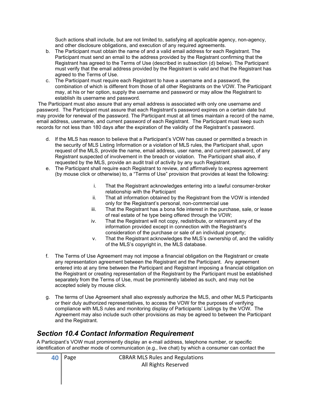Such actions shall include, but are not limited to, satisfying all applicable agency, non-agency, and other disclosure obligations, and execution of any required agreements.

- b. The Participant must obtain the name of and a valid email address for each Registrant. The Participant must send an email to the address provided by the Registrant confirming that the Registrant has agreed to the Terms of Use (described in subsection (d) below). The Participant must verify that the email address provided by the Registrant is valid and that the Registrant has agreed to the Terms of Use.
- c. The Participant must require each Registrant to have a username and a password, the combination of which is different from those of all other Registrants on the VOW. The Participant may, at his or her option, supply the username and password or may allow the Registrant to establish its username and password.

 The Participant must also assure that any email address is associated with only one username and password. The Participant must assure that each Registrant's password expires on a certain date but may provide for renewal of the password. The Participant must at all times maintain a record of the name, email address, username, and current password of each Registrant. The Participant must keep such records for not less than 180 days after the expiration of the validity of the Registrant's password.

- d. If the MLS has reason to believe that a Participant's VOW has caused or permitted a breach in the security of MLS Listing Information or a violation of MLS rules, the Participant shall, upon request of the MLS, provide the name, email address, user name, and current password, of any Registrant suspected of involvement in the breach or violation. The Participant shall also, if requested by the MLS, provide an audit trail of activity by any such Registrant.
- e. The Participant shall require each Registrant to review, and affirmatively to express agreement (by mouse click or otherwise) to, a "Terms of Use" provision that provides at least the following:
	- i. That the Registrant acknowledges entering into a lawful consumer-broker relationship with the Participant
	- ii. That all information obtained by the Registrant from the VOW is intended only for the Registrant's personal, non-commercial use
	- iii. That the Registrant has a bona fide interest in the purchase, sale, or lease of real estate of he type being offered through the VOW;
	- iv. That the Registrant will not copy, redistribute, or retransmit any of the information provided except in connection with the Registrant's consideration of the purchase or sale of an individual property;
	- v. That the Registrant acknowledges the MLS's ownership of, and the validity of the MLS's copyright in, the MLS database.
- f. The Terms of Use Agreement may not impose a financial obligation on the Registrant or create any representation agreement between the Registrant and the Participant. Any agreement entered into at any time between the Participant and Registrant imposing a financial obligation on the Registrant or creating representation of the Registrant by the Participant must be established separately from the Terms of Use, must be prominently labeled as such, and may not be accepted solely by mouse click.
- g. The terms of Use Agreement shall also expressly authorize the MLS, and other MLS Participants or their duly authorized representatives, to access the VOW for the purposes of verifying compliance with MLS rules and monitoring display of Participants' Listings by the VOW. The Agreement may also include such other provisions as may be agreed to between the Participant and the Registrant.

#### Section 10.4 Contact Information Requirement

A Participant's VOW must prominently display an e-mail address, telephone number, or specific identification of another mode of communication (e.g., live chat) by which a consumer can contact the

| $\vert 40 \vert$ Page | <b>CBRAR MLS Rules and Regulations</b> |
|-----------------------|----------------------------------------|
|                       | All Rights Reserved                    |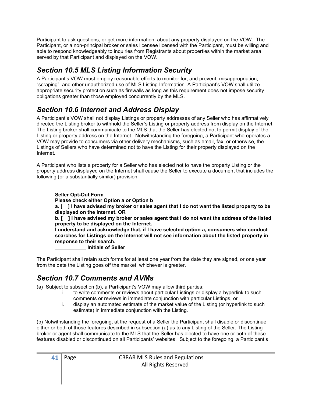Participant to ask questions, or get more information, about any property displayed on the VOW. The Participant, or a non-principal broker or sales licensee licensed with the Participant, must be willing and able to respond knowledgeably to inquiries from Registrants about properties within the market area served by that Participant and displayed on the VOW.

#### Section 10.5 MLS Listing Information Security

A Participant's VOW must employ reasonable efforts to monitor for, and prevent, misappropriation, "scraping", and other unauthorized use of MLS Listing Information. A Participant's VOW shall utilize appropriate security protection such as firewalls as long as this requirement does not impose security obligations greater than those employed concurrently by the MLS.

# Section 10.6 Internet and Address Display

A Participant's VOW shall not display Listings or property addresses of any Seller who has affirmatively directed the Listing broker to withhold the Seller's Listing or property address from display on the Internet. The Listing broker shall communicate to the MLS that the Seller has elected not to permit display of the Listing or property address on the Internet. Notwithstanding the foregoing, a Participant who operates a VOW may provide to consumers via other delivery mechanisms, such as email, fax, or otherwise, the Listings of Sellers who have determined not to have the Listing for their property displayed on the Internet.

A Participant who lists a property for a Seller who has elected not to have the property Listing or the property address displayed on the Internet shall cause the Seller to execute a document that includes the following (or a substantially similar) provision:

#### Seller Opt-Out Form

Please check either Option a or Option b

a. [ ] I have advised my broker or sales agent that I do not want the listed property to be displayed on the Internet. OR

b. [ ] I have advised my broker or sales agent that I do not want the address of the listed property to be displayed on the Internet.

I understand and acknowledge that, if I have selected option a, consumers who conduct searches for Listings on the Internet will not see information about the listed property in response to their search.

\_\_\_\_\_\_\_\_\_\_\_ Initials of Seller

The Participant shall retain such forms for at least one year from the date they are signed, or one year from the date the Listing goes off the market, whichever is greater.

#### Section 10.7 Comments and AVMs

(a) Subject to subsection (b), a Participant's VOW may allow third parties:

- i. to write comments or reviews about particular Listings or display a hyperlink to such comments or reviews in immediate conjunction with particular Listings, or
- ii. display an automated estimate of the market value of the Listing (or hyperlink to such estimate) in immediate conjunction with the Listing.

(b) Notwithstanding the foregoing, at the request of a Seller the Participant shall disable or discontinue either or both of those features described in subsection (a) as to any Listing of the Seller. The Listing broker or agent shall communicate to the MLS that the Seller has elected to have one or both of these features disabled or discontinued on all Participants' websites. Subject to the foregoing, a Participant's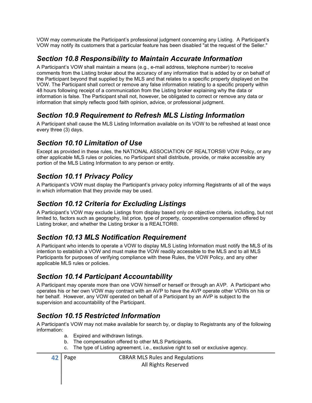VOW may communicate the Participant's professional judgment concerning any Listing. A Participant's VOW may notify its customers that a particular feature has been disabled "at the request of the Seller."

#### Section 10.8 Responsibility to Maintain Accurate Information

A Participant's VOW shall maintain a means (e.g., e-mail address, telephone number) to receive comments from the Listing broker about the accuracy of any information that is added by or on behalf of the Participant beyond that supplied by the MLS and that relates to a specific property displayed on the VOW. The Participant shall correct or remove any false information relating to a specific property within 48 hours following receipt of a communication from the Listing broker explaining why the data or information is false. The Participant shall not, however, be obligated to correct or remove any data or information that simply reflects good faith opinion, advice, or professional judgment.

#### Section 10.9 Requirement to Refresh MLS Listing Information

A Participant shall cause the MLS Listing Information available on its VOW to be refreshed at least once every three (3) days.

#### Section 10.10 Limitation of Use

Except as provided in these rules, the NATIONAL ASSOCIATION OF REALTORS® VOW Policy, or any other applicable MLS rules or policies, no Participant shall distribute, provide, or make accessible any portion of the MLS Listing Information to any person or entity.

#### Section 10.11 Privacy Policy

A Participant's VOW must display the Participant's privacy policy informing Registrants of all of the ways in which information that they provide may be used.

#### Section 10.12 Criteria for Excluding Listings

A Participant's VOW may exclude Listings from display based only on objective criteria, including, but not limited to, factors such as geography, list price, type of property, cooperative compensation offered by Listing broker, and whether the Listing broker is a REALTOR®.

#### Section 10.13 MLS Notification Requirement

A Participant who intends to operate a VOW to display MLS Listing Information must notify the MLS of its intention to establish a VOW and must make the VOW readily accessible to the MLS and to all MLS Participants for purposes of verifying compliance with these Rules, the VOW Policy, and any other applicable MLS rules or policies.

#### Section 10.14 Participant Accountability

A Participant may operate more than one VOW himself or herself or through an AVP. A Participant who operates his or her own VOW may contract with an AVP to have the AVP operate other VOWs on his or her behalf. However, any VOW operated on behalf of a Participant by an AVP is subject to the supervision and accountability of the Participant.

#### Section 10.15 Restricted Information

A Participant's VOW may not make available for search by, or display to Registrants any of the following information:

- a. Expired and withdrawn listings.
- b. The compensation offered to other MLS Participants.
- c. The type of Listing agreement, i.e., exclusive right to sell or exclusive agency.

**42** Page **CBRAR MLS** Rules and Regulations All Rights Reserved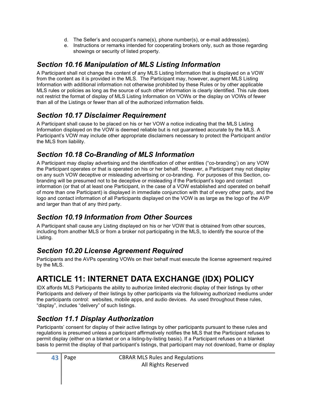- d. The Seller's and occupant's name(s), phone number(s), or e-mail address(es).
- e. Instructions or remarks intended for cooperating brokers only, such as those regarding showings or security of listed property.

# Section 10.16 Manipulation of MLS Listing Information

A Participant shall not change the content of any MLS Listing Information that is displayed on a VOW from the content as it is provided in the MLS. The Participant may, however, augment MLS Listing Information with additional information not otherwise prohibited by these Rules or by other applicable MLS rules or policies as long as the source of such other information is clearly identified. This rule does not restrict the format of display of MLS Listing Information on VOWs or the display on VOWs of fewer than all of the Listings or fewer than all of the authorized information fields.

# Section 10.17 Disclaimer Requirement

A Participant shall cause to be placed on his or her VOW a notice indicating that the MLS Listing Information displayed on the VOW is deemed reliable but is not guaranteed accurate by the MLS. A Participant's VOW may include other appropriate disclaimers necessary to protect the Participant and/or the MLS from liability.

# Section 10.18 Co-Branding of MLS Information

A Participant may display advertising and the identification of other entities ("co-branding') on any VOW the Participant operates or that is operated on his or her behalf. However, a Participant may not display on any such VOW deceptive or misleading advertising or co-branding. For purposes of this Section, cobranding will be presumed not to be deceptive or misleading if the Participant's logo and contact information (or that of at least one Participant, in the case of a VOW established and operated on behalf of more than one Participant) is displayed in immediate conjunction with that of every other party, and the logo and contact information of all Participants displayed on the VOW is as large as the logo of the AVP and larger than that of any third party.

# Section 10.19 Information from Other Sources

A Participant shall cause any Listing displayed on his or her VOW that is obtained from other sources, including from another MLS or from a broker not participating in the MLS, to identify the source of the Listing.

# Section 10.20 License Agreement Required

Participants and the AVPs operating VOWs on their behalf must execute the license agreement required by the MLS.

# ARTICLE 11: INTERNET DATA EXCHANGE (IDX) POLICY

IDX affords MLS Participants the ability to authorize limited electronic display of their listings by other Participants and delivery of their listings by other participants via the following authorized mediums under the participants control: websites, mobile apps, and audio devices. As used throughout these rules, "display", includes "delivery" of such listings.

# Section 11.1 Display Authorization

Participants' consent for display of their active listings by other participants pursuant to these rules and regulations is presumed unless a participant affirmatively notifies the MLS that the Participant refuses to permit display (either on a blanket or on a listing-by-listing basis). If a Participant refuses on a blanket basis to permit the display of that participant's listings, that participant may not download, frame or display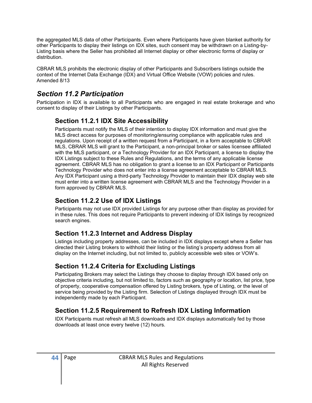the aggregated MLS data of other Participants. Even where Participants have given blanket authority for other Participants to display their listings on IDX sites, such consent may be withdrawn on a Listing-by-Listing basis where the Seller has prohibited all Internet display or other electronic forms of display or distribution.

CBRAR MLS prohibits the electronic display of other Participants and Subscribers listings outside the context of the Internet Data Exchange (IDX) and Virtual Office Website (VOW) policies and rules. Amended 8/13

#### Section 11.2 Participation

Participation in IDX is available to all Participants who are engaged in real estate brokerage and who consent to display of their Listings by other Participants.

#### Section 11.2.1 IDX Site Accessibility

Participants must notify the MLS of their intention to display IDX information and must give the MLS direct access for purposes of monitoring/ensuring compliance with applicable rules and regulations. Upon receipt of a written request from a Participant, in a form acceptable to CBRAR MLS, CBRAR MLS will grant to the Participant, a non-principal broker or sales licensee affiliated with the MLS participant, or a Technology Provider for an IDX Participant, a license to display the IDX Listings subject to these Rules and Regulations, and the terms of any applicable license agreement. CBRAR MLS has no obligation to grant a license to an IDX Participant or Participants Technology Provider who does not enter into a license agreement acceptable to CBRAR MLS. Any IDX Participant using a third-party Technology Provider to maintain their IDX display web site must enter into a written license agreement with CBRAR MLS and the Technology Provider in a form approved by CBRAR MLS.

#### Section 11.2.2 Use of IDX Listings

Participants may not use IDX provided Listings for any purpose other than display as provided for in these rules. This does not require Participants to prevent indexing of IDX listings by recognized search engines.

#### Section 11.2.3 Internet and Address Display

Listings including property addresses, can be included in IDX displays except where a Seller has directed their Listing brokers to withhold their listing or the listing's property address from all display on the Internet including, but not limited to, publicly accessible web sites or VOW's.

#### Section 11.2.4 Criteria for Excluding Listings

Participating Brokers may select the Listings they choose to display through IDX based only on objective criteria including, but not limited to, factors such as geography or location, list price, type of property, cooperative compensation offered by Listing brokers, type of Listing, or the level of service being provided by the Listing firm. Selection of Listings displayed through IDX must be independently made by each Participant.

#### Section 11.2.5 Requirement to Refresh IDX Listing Information

IDX Participants must refresh all MLS downloads and IDX displays automatically fed by those downloads at least once every twelve (12) hours.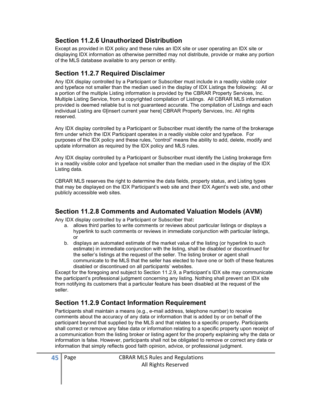#### Section 11.2.6 Unauthorized Distribution

Except as provided in IDX policy and these rules an IDX site or user operating an IDX site or displaying IDX information as otherwise permitted may not distribute, provide or make any portion of the MLS database available to any person or entity.

#### Section 11.2.7 Required Disclaimer

Any IDX display controlled by a Participant or Subscriber must include in a readily visible color and typeface not smaller than the median used in the display of IDX Listings the following: All or a portion of the multiple Listing information is provided by the CBRAR Property Services, Inc. Multiple Listing Service, from a copyrighted compilation of Listings. All CBRAR MLS information provided is deemed reliable but is not guaranteed accurate. The compilation of Listings and each individual Listing are ©[insert current year here] CBRAR Property Services, Inc. All rights reserved.

Any IDX display controlled by a Participant or Subscriber must identify the name of the brokerage firm under which the IDX Participant operates in a readily visible color and typeface. For purposes of the IDX policy and these rules, "control" means the ability to add, delete, modify and update information as required by the IDX policy and MLS rules.

Any IDX display controlled by a Participant or Subscriber must identify the Listing brokerage firm in a readily visible color and typeface not smaller than the median used in the display of the IDX Listing data.

CBRAR MLS reserves the right to determine the data fields, property status, and Listing types that may be displayed on the IDX Participant's web site and their IDX Agent's web site, and other publicly accessible web sites.

#### Section 11.2.8 Comments and Automated Valuation Models (AVM)

Any IDX display controlled by a Participant or Subscriber that:

- a. allows third parties to write comments or reviews about particular listings or displays a hyperlink to such comments or reviews in immediate conjunction with particular listings, or
- b. displays an automated estimate of the market value of the listing (or hyperlink to such estimate) in immediate conjunction with the listing, shall be disabled or discontinued for the seller's listings at the request of the seller. The listing broker or agent shall communicate to the MLS that the seller has elected to have one or both of these features disabled or discontinued on all participants' websites.

Except for the foregoing and subject to Section 11.2.9, a Participant's IDX site may communicate the participant's professional judgment concerning any listing. Nothing shall prevent an IDX site from notifying its customers that a particular feature has been disabled at the request of the seller.

#### Section 11.2.9 Contact Information Requirement

Participants shall maintain a means (e.g., e-mail address, telephone number) to receive comments about the accuracy of any data or information that is added by or on behalf of the participant beyond that supplied by the MLS and that relates to a specific property. Participants shall correct or remove any false data or information relating to a specific property upon receipt of a communication from the listing broker or listing agent for the property explaining why the data or information is false. However, participants shall not be obligated to remove or correct any data or information that simply reflects good faith opinion, advice, or professional judgment.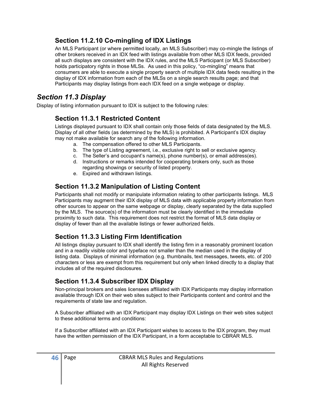#### Section 11.2.10 Co-mingling of IDX Listings

An MLS Participant (or where permitted locally, an MLS Subscriber) may co-mingle the listings of other brokers received in an IDX feed with listings available from other MLS IDX feeds, provided all such displays are consistent with the IDX rules, and the MLS Participant (or MLS Subscriber) holds participatory rights in those MLSs. As used in this policy, "co-mingling" means that consumers are able to execute a single property search of multiple IDX data feeds resulting in the display of IDX information from each of the MLSs on a single search results page; and that Participants may display listings from each IDX feed on a single webpage or display.

#### Section 11.3 Display

Display of listing information pursuant to IDX is subject to the following rules:

#### Section 11.3.1 Restricted Content

Listings displayed pursuant to IDX shall contain only those fields of data designated by the MLS. Display of all other fields (as determined by the MLS) is prohibited. A Participant's IDX display may not make available for search any of the following information.

- a. The compensation offered to other MLS Participants.
- b. The type of Listing agreement, i.e., exclusive right to sell or exclusive agency.
- c. The Seller's and occupant's name(s), phone number(s), or email address(es).
- d. Instructions or remarks intended for cooperating brokers only, such as those regarding showings or security of listed property.
- e. Expired and withdrawn listings.

#### Section 11.3.2 Manipulation of Listing Content

Participants shall not modify or manipulate information relating to other participants listings. MLS Participants may augment their IDX display of MLS data with applicable property information from other sources to appear on the same webpage or display, clearly separated by the data supplied by the MLS. The source(s) of the information must be clearly identified in the immediate proximity to such data. This requirement does not restrict the format of MLS data display or display of fewer than all the available listings or fewer authorized fields.

#### Section 11.3.3 Listing Firm Identification

All listings display pursuant to IDX shall identify the listing firm in a reasonably prominent location and in a readily visible color and typeface not smaller than the median used in the display of listing data. Displays of minimal information (e.g. thumbnails, text messages, tweets, etc. of 200 characters or less are exempt from this requirement but only when linked directly to a display that includes all of the required disclosures.

#### Section 11.3.4 Subscriber IDX Display

Non-principal brokers and sales licensees affiliated with IDX Participants may display information available through IDX on their web sites subject to their Participants content and control and the requirements of state law and regulation.

A Subscriber affiliated with an IDX Participant may display IDX Listings on their web sites subject to these additional terms and conditions:

If a Subscriber affiliated with an IDX Participant wishes to access to the IDX program, they must have the written permission of the IDX Participant, in a form acceptable to CBRAR MLS.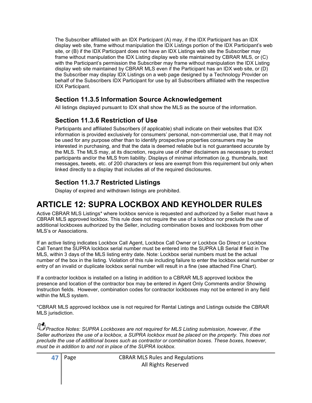The Subscriber affiliated with an IDX Participant (A) may, if the IDX Participant has an IDX display web site, frame without manipulation the IDX Listings portion of the IDX Participant's web site, or (B) if the IDX Participant does not have an IDX Listings web site the Subscriber may frame without manipulation the IDX Listing display web site maintained by CBRAR MLS, or (C) with the Participant's permission the Subscriber may frame without manipulation the IDX Listing display web site maintained by CBRAR MLS even if the Participant has an IDX web site, or (D) the Subscriber may display IDX Listings on a web page designed by a Technology Provider on behalf of the Subscribers IDX Participant for use by all Subscribers affiliated with the respective IDX Participant.

#### Section 11.3.5 Information Source Acknowledgement

All listings displayed pursuant to IDX shall show the MLS as the source of the information.

#### Section 11.3.6 Restriction of Use

Participants and affiliated Subscribers (if applicable) shall indicate on their websites that IDX information is provided exclusively for consumers' personal, non-commercial use, that it may not be used for any purpose other than to identify prospective properties consumers may be interested in purchasing, and that the data is deemed reliable but is not guaranteed accurate by the MLS. The MLS may, at its discretion, require use of other disclaimers as necessary to protect participants and/or the MLS from liability. Displays of minimal information (e.g. thumbnails, text messages, tweets, etc. of 200 characters or less are exempt from this requirement but only when linked directly to a display that includes all of the required disclosures.

#### Section 11.3.7 Restricted Listings

Display of expired and withdrawn listings are prohibited.

# ARTICLE 12: SUPRA LOCKBOX AND KEYHOLDER RULES

Active CBRAR MLS Listings\* where lockbox service is requested and authorized by a Seller must have a CBRAR MLS approved lockbox. This rule does not require the use of a lockbox nor preclude the use of additional lockboxes authorized by the Seller, including combination boxes and lockboxes from other MLS's or Associations.

If an active listing indicates Lockbox Call Agent, Lockbox Call Owner or Lockbox Go Direct or Lockbox Call Tenant the SUPRA lockbox serial number must be entered into the SUPRA LB Serial # field in The MLS, within 3 days of the MLS listing entry date. Note: Lockbox serial numbers must be the actual number of the box in the listing. Violation of this rule including failure to enter the lockbox serial number or entry of an invalid or duplicate lockbox serial number will result in a fine (see attached Fine Chart).

If a contractor lockbox is installed on a listing in addition to a CBRAR MLS approved lockbox the presence and location of the contractor box may be entered in Agent Only Comments and/or Showing Instruction fields. However, combination codes for contractor lockboxes may not be entered in any field within the MLS system.

\*CBRAR MLS approved lockbox use is not required for Rental Listings and Listings outside the CBRAR MLS jurisdiction.

**Practice Notes: SUPRA Lockboxes are not required for MLS Listing submission, however, if the** Seller authorizes the use of a lockbox, a SUPRA lockbox must be placed on the property. This does not preclude the use of additional boxes such as contractor or combination boxes. These boxes, however, must be in addition to and not in place of the SUPRA lockbox.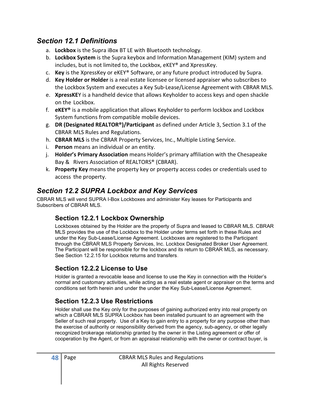#### Section 12.1 Definitions

- a. Lockbox is the Supra iBox BT LE with Bluetooth technology.
- b. Lockbox System is the Supra keybox and Information Management (KIM) system and includes, but is not limited to, the Lockbox, eKEY® and XpressKey.
- c. Key is the XpressKey or eKEY® Software, or any future product introduced by Supra.
- d. Key Holder or Holder is a real estate licensee or licensed appraiser who subscribes to the Lockbox System and executes a Key Sub-Lease/License Agreement with CBRAR MLS.
- e. XpressKEY is a handheld device that allows Keyholder to access keys and open shackle on the Lockbox.
- f.  $e$ KEY<sup>®</sup> is a mobile application that allows Keyholder to perform lockbox and Lockbox System functions from compatible mobile devices.
- g. DR (Designated REALTOR®)/Participant as defined under Article 3, Section 3.1 of the CBRAR MLS Rules and Regulations.
- h. CBRAR MLS is the CBRAR Property Services, Inc., Multiple Listing Service.
- i. Person means an individual or an entity.
- j. Holder's Primary Association means Holder's primary affiliation with the Chesapeake Bay & Rivers Association of REALTORS® (CBRAR).
- k. Property Key means the property key or property access codes or credentials used to access the property.

# Section 12.2 SUPRA Lockbox and Key Services

CBRAR MLS will vend SUPRA I-Box Lockboxes and administer Key leases for Participants and Subscribers of CBRAR MLS.

#### Section 12.2.1 Lockbox Ownership

Lockboxes obtained by the Holder are the property of Supra and leased to CBRAR MLS. CBRAR MLS provides the use of the Lockbox to the Holder under terms set forth in these Rules and under the Key Sub-Lease/License Agreement. Lockboxes are registered to the Participant through the CBRAR MLS Property Services, Inc. Lockbox Designated Broker User Agreement. The Participant will be responsible for the lockbox and its return to CBRAR MLS, as necessary. See Section 12.2.15 for Lockbox returns and transfers.

#### Section 12.2.2 License to Use

Holder is granted a revocable lease and license to use the Key in connection with the Holder's normal and customary activities, while acting as a real estate agent or appraiser on the terms and conditions set forth herein and under the under the Key Sub-Lease/License Agreement.

#### Section 12.2.3 Use Restrictions

Holder shall use the Key only for the purposes of gaining authorized entry into real property on which a CBRAR MLS SUPRA Lockbox has been installed pursuant to an agreement with the Seller of such real property. Use of a Key to gain entry to a property for any purpose other than the exercise of authority or responsibility derived from the agency, sub-agency, or other legally recognized brokerage relationship granted by the owner in the Listing agreement or offer of cooperation by the Agent, or from an appraisal relationship with the owner or contract buyer, is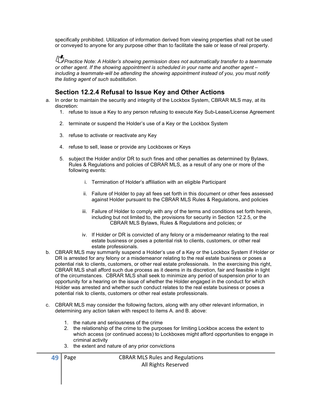specifically prohibited. Utilization of information derived from viewing properties shall not be used or conveyed to anyone for any purpose other than to facilitate the sale or lease of real property.

**Practice Note: A Holder's showing permission does not automatically transfer to a teammate** or other agent. If the showing appointment is scheduled in your name and another agent – including a teammate-will be attending the showing appointment instead of you, you must notify the listing agent of such substitution.

#### Section 12.2.4 Refusal to Issue Key and Other Actions

- a. In order to maintain the security and integrity of the Lockbox System, CBRAR MLS may, at its discretion:
	- 1. refuse to issue a Key to any person refusing to execute Key Sub-Lease/License Agreement
	- 2. terminate or suspend the Holder's use of a Key or the Lockbox System
	- 3. refuse to activate or reactivate any Key
	- 4. refuse to sell, lease or provide any Lockboxes or Keys
	- 5. subject the Holder and/or DR to such fines and other penalties as determined by Bylaws, Rules & Regulations and policies of CBRAR MLS, as a result of any one or more of the following events:
		- i. Termination of Holder's affiliation with an eligible Participant
		- ii. Failure of Holder to pay all fees set forth in this document or other fees assessed against Holder pursuant to the CBRAR MLS Rules & Regulations, and policies
		- iii. Failure of Holder to comply with any of the terms and conditions set forth herein, including but not limited to, the provisions for security in Section 12.2.5, or the CBRAR MLS Bylaws, Rules & Regulations and policies; or
		- iv. If Holder or DR is convicted of any felony or a misdemeanor relating to the real estate business or poses a potential risk to clients, customers, or other real estate professionals.
- b. CBRAR MLS may summarily suspend a Holder's use of a Key or the Lockbox System if Holder or DR is arrested for any felony or a misdemeanor relating to the real estate business or poses a potential risk to clients, customers, or other real estate professionals. In the exercising this right, CBRAR MLS shall afford such due process as it deems in its discretion, fair and feasible in light of the circumstances. CBRAR MLS shall seek to minimize any period of suspension prior to an opportunity for a hearing on the issue of whether the Holder engaged in the conduct for which Holder was arrested and whether such conduct relates to the real estate business or poses a potential risk to clients, customers or other real estate professionals.
- c. CBRAR MLS may consider the following factors, along with any other relevant information, in determining any action taken with respect to items A. and B. above:
	- 1. the nature and seriousness of the crime
	- 2. the relationship of the crime to the purposes for limiting Lockbox access the extent to which access (or continued access) to Lockboxes might afford opportunities to engage in criminal activity
	- 3. the extent and nature of any prior convictions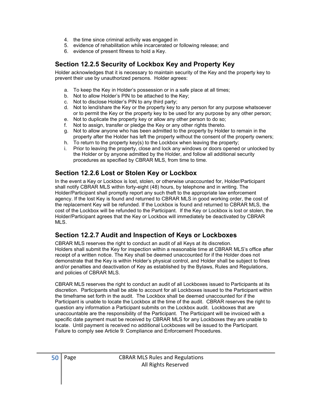- 4. the time since criminal activity was engaged in
- 5. evidence of rehabilitation while incarcerated or following release; and
- 6. evidence of present fitness to hold a Key.

#### Section 12.2.5 Security of Lockbox Key and Property Key

Holder acknowledges that it is necessary to maintain security of the Key and the property key to prevent their use by unauthorized persons. Holder agrees:

- a. To keep the Key in Holder's possession or in a safe place at all times;
- b. Not to allow Holder's PIN to be attached to the Key;
- c. Not to disclose Holder's PIN to any third party;
- d. Not to lend/share the Key or the property key to any person for any purpose whatsoever or to permit the Key or the property key to be used for any purpose by any other person;
- e. Not to duplicate the property key or allow any other person to do so;
- f. Not to assign, transfer or pledge the Key or any other rights thereto.
- g. Not to allow anyone who has been admitted to the property by Holder to remain in the property after the Holder has left the property without the consent of the property owners;
- h. To return to the property key(s) to the Lockbox when leaving the property;
- i. Prior to leaving the property, close and lock any windows or doors opened or unlocked by the Holder or by anyone admitted by the Holder, and follow all additional security procedures as specified by CBRAR MLS, from time to time.

#### Section 12.2.6 Lost or Stolen Key or Lockbox

In the event a Key or Lockbox is lost, stolen, or otherwise unaccounted for, Holder/Participant shall notify CBRAR MLS within forty-eight (48) hours, by telephone and in writing. The Holder/Participant shall promptly report any such theft to the appropriate law enforcement agency. If the lost Key is found and returned to CBRAR MLS in good working order, the cost of the replacement Key will be refunded. If the Lockbox is found and returned to CBRAR MLS, the cost of the Lockbox will be refunded to the Participant. If the Key or Lockbox is lost or stolen, the Holder/Participant agrees that the Key or Lockbox will immediately be deactivated by CBRAR MLS.

#### Section 12.2.7 Audit and Inspection of Keys or Lockboxes

CBRAR MLS reserves the right to conduct an audit of all Keys at its discretion. Holders shall submit the Key for inspection within a reasonable time at CBRAR MLS's office after receipt of a written notice. The Key shall be deemed unaccounted for if the Holder does not demonstrate that the Key is within Holder's physical control, and Holder shall be subject to fines and/or penalties and deactivation of Key as established by the Bylaws, Rules and Regulations, and policies of CBRAR MLS.

CBRAR MLS reserves the right to conduct an audit of all Lockboxes issued to Participants at its discretion. Participants shall be able to account for all Lockboxes issued to the Participant within the timeframe set forth in the audit. The Lockbox shall be deemed unaccounted for if the Participant is unable to locate the Lockbox at the time of the audit. CBRAR reserves the right to question any information a Participant submits on the Lockbox audit. Lockboxes that are unaccountable are the responsibility of the Participant. The Participant will be invoiced with a specific date payment must be received by CBRAR MLS for any Lockboxes they are unable to locate. Until payment is received no additional Lockboxes will be issued to the Participant. Failure to comply see Article 9: Compliance and Enforcement Procedures.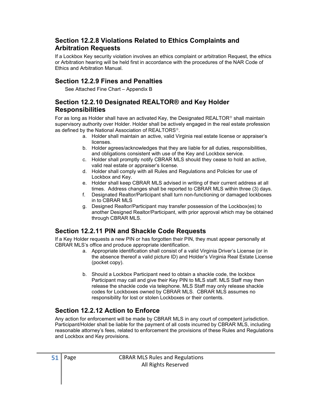#### Section 12.2.8 Violations Related to Ethics Complaints and Arbitration Requests

If a Lockbox Key security violation involves an ethics complaint or arbitration Request, the ethics or Arbitration hearing will be held first in accordance with the procedures of the NAR Code of Ethics and Arbitration Manual.

#### Section 12.2.9 Fines and Penalties

See Attached Fine Chart – Appendix B

#### Section 12.2.10 Designated REALTOR® and Key Holder Responsibilities

For as long as Holder shall have an activated Key, the Designated REALTOR<sup>®</sup> shall maintain supervisory authority over Holder. Holder shall be actively engaged in the real estate profession as defined by the National Association of REALTORS<sup>®</sup>.

- a. Holder shall maintain an active, valid Virginia real estate license or appraiser's licenses.
- b. Holder agrees/acknowledges that they are liable for all duties, responsibilities, and obligations consistent with use of the Key and Lockbox service.
- c. Holder shall promptly notify CBRAR MLS should they cease to hold an active, valid real estate or appraiser's license.
- d. Holder shall comply with all Rules and Regulations and Policies for use of Lockbox and Key.
- e. Holder shall keep CBRAR MLS advised in writing of their current address at all times. Address changes shall be reported to CBRAR MLS within three (3) days.
- f. Designated Realtor/Participant shall turn non-functioning or damaged lockboxes in to CBRAR MLS
- g. Designed Realtor/Participant may transfer possession of the Lockbox(es) to another Designed Realtor/Participant, with prior approval which may be obtained through CBRAR MLS.

#### Section 12.2.11 PIN and Shackle Code Requests

If a Key Holder requests a new PIN or has forgotten their PIN, they must appear personally at CBRAR MLS's office and produce appropriate identification.

- a. Appropriate identification shall consist of a valid Virginia Driver's License (or in the absence thereof a valid picture ID) and Holder's Virginia Real Estate License (pocket copy).
- b. Should a Lockbox Participant need to obtain a shackle code, the lockbox Participant may call and give their Key PIN to MLS staff. MLS Staff may then release the shackle code via telephone. MLS Staff may only release shackle codes for Lockboxes owned by CBRAR MLS. CBRAR MLS assumes no responsibility for lost or stolen Lockboxes or their contents.

#### Section 12.2.12 Action to Enforce

Any action for enforcement will be made by CBRAR MLS in any court of competent jurisdiction. Participant/Holder shall be liable for the payment of all costs incurred by CBRAR MLS, including reasonable attorney's fees, related to enforcement the provisions of these Rules and Regulations and Lockbox and Key provisions.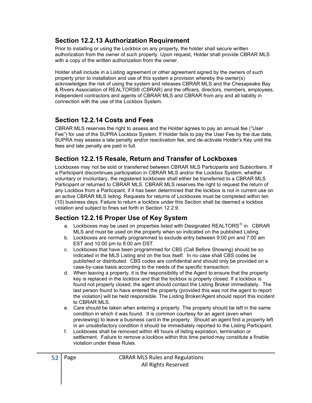#### Section 12.2.13 Authorization Requirement

Prior to installing or using the Lockbox on any property, the holder shall secure written authorization from the owner of such property. Upon request, Holder shall provide CBRAR MLS with a copy of the written authorization from the owner.

Holder shall include in a Listing agreement or other agreement signed by the owners of such property prior to installation and use of this system a provision whereby the owner(s) acknowledges the risk of using the system and releases CBRAR MLS and the Chesapeake Bay & Rivers Association of REALTORS® (CBRAR) and the officers, directors, members, employees, independent contractors and agents of CBRAR MLS and CBRAR from any and all liability in connection with the use of the Lockbox System.

#### Section 12.2.14 Costs and Fees

CBRAR MLS reserves the right to assess and the Holder agrees to pay an annual fee ("User Fee") for use of the SUPRA Lockbox System. If Holder fails to pay the User Fee by the due date, SUPRA may assess a late penalty and/or reactivation fee, and de-activate Holder's Key until the fees and late penalty are paid in full.

#### Section 12.2.15 Resale, Return and Transfer of Lockboxes

Lockboxes may not be sold or transferred between CBRAR MLS Participants and Subscribers. If a Participant discontinues participation in CBRAR MLS and/or the Lockbox System, whether voluntary or involuntary, the registered lockboxes shall either be transferred to a CBRAR MLS Participant or returned to CBRAR MLS. CBRAR MLS reserves the right to request the return of any Lockbox from a Participant, if it has been determined that the lockbox is not in current use on an active CBRAR MLS listing. Requests for returns of Lockboxes must be completed within ten (10) business days. Failure to return a lockbox under this Section shall be deemed a lockbox violation and subject to fines set forth in Section 12.2.9.

#### Section 12.2.16 Proper Use of Key System

- a. Lockboxes may be used on properties listed with Designated REALTORS<sup>®</sup> in CBRAR MLS and must be used on the property when so indicated on the published Listing.
- b. Lockboxes are normally programmed to exclude entry between 9:00 pm and 7:00 am EST and 10:00 pm to 8:00 am DST.
- c. Lockboxes that have been programmed for CBS (Call Before Showing) should be so indicated in the MLS Listing and on the box itself. In no case shall CBS codes be published or distributed. CBS codes are confidential and should only be provided on a case-by-case basis according to the needs of the specific transaction.
- d. When leaving a property, it is the responsibility of the Agent to ensure that the property key is replaced in the lockbox and that the lockbox is properly closed. If a lockbox is found not properly closed, the agent should contact the Listing Broker immediately. The last person found to have entered the property (provided this was not the agent to report the violation) will be held responsible. The Listing Broker/Agent should report this incident to CBRAR MLS.
- e. Care should be taken when entering a property. The property should be left in the same condition in which it was found. It is common courtesy for an agent (even when previewing) to leave a business card in the property. Should an agent find a property left in an unsatisfactory condition it should be immediately reported to the Listing Participant.
- f. Lockboxes shall be removed within 48 hours of listing expiration, termination or settlement. Failure to remove a lockbox within this time period may constitute a finable violation under these Rules.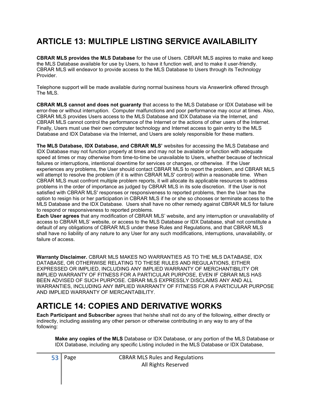# ARTICLE 13: MULTIPLE LISTING SERVICE AVAILABILITY

CBRAR MLS provides the MLS Database for the use of Users. CBRAR MLS aspires to make and keep the MLS Database available for use by Users, to have it function well, and to make it user-friendly. CBRAR MLS will endeavor to provide access to the MLS Database to Users through its Technology Provider.

Telephone support will be made available during normal business hours via Answerlink offered through The MLS.

CBRAR MLS cannot and does not guaranty that access to the MLS Database or IDX Database will be error-free or without interruption. Computer malfunctions and poor performance may occur at times. Also, CBRAR MLS provides Users access to the MLS Database and IDX Database via the Internet, and CBRAR MLS cannot control the performance of the Internet or the actions of other users of the Internet. Finally, Users must use their own computer technology and Internet access to gain entry to the MLS Database and IDX Database via the Internet, and Users are solely responsible for these matters.

The MLS Database, IDX Database, and CBRAR MLS' websites for accessing the MLS Database and IDX Database may not function properly at times and may not be available or function with adequate speed at times or may otherwise from time-to-time be unavailable to Users, whether because of technical failures or interruptions, intentional downtime for services or changes, or otherwise. If the User experiences any problems, the User should contact CBRAR MLS to report the problem, and CBRAR MLS will attempt to resolve the problem (if it is within CBRAR MLS' control) within a reasonable time. When CBRAR MLS must confront multiple problem reports, it will allocate its applicable resources to address problems in the order of importance as judged by CBRAR MLS in its sole discretion. If the User is not satisfied with CBRAR MLS' responses or responsiveness to reported problems, then the User has the option to resign his or her participation in CBRAR MLS if he or she so chooses or terminate access to the MLS Database and the IDX Database. Users shall have no other remedy against CBRAR MLS for failure to respond or responsiveness to reported problems.

Each User agrees that any modification of CBRAR MLS' website, and any interruption or unavailability of access to CBRAR MLS' website, or access to the MLS Database or IDX Database, shall not constitute a default of any obligations of CBRAR MLS under these Rules and Regulations, and that CBRAR MLS shall have no liability of any nature to any User for any such modifications, interruptions, unavailability, or failure of access.

Warranty Disclaimer. CBRAR MLS MAKES NO WARRANTIES AS TO THE MLS DATABASE, IDX DATABASE, OR OTHERWISE RELATING TO THESE RULES AND REGULATIONS, EITHER EXPRESSED OR IMPLIED, INCLUDING ANY IMPLIED WARRANTY OF MERCHANTIBILITY OR IMPLIED WARRANTY OF FITNESS FOR A PARTICULAR PURPOSE, EVEN IF CBRAR MLS HAS BEEN ADVISED OF SUCH PURPOSE. CBRAR MLS EXPRESSLY DISCLAIMS ANY AND ALL WARRANTIES, INCLUDING ANY IMPLIED WARRANTY OF FITNESS FOR A PARTICULAR PURPOSE AND IMPLIED WARRANTY OF MERCANTABILITY.

# ARTICLE 14: COPIES AND DERIVATIVE WORKS

Each Participant and Subscriber agrees that he/she shall not do any of the following, either directly or indirectly, including assisting any other person or otherwise contributing in any way to any of the following:

Make any copies of the MLS Database or IDX Database, or any portion of the MLS Database or IDX Database, including any specific Listing included in the MLS Database or IDX Database,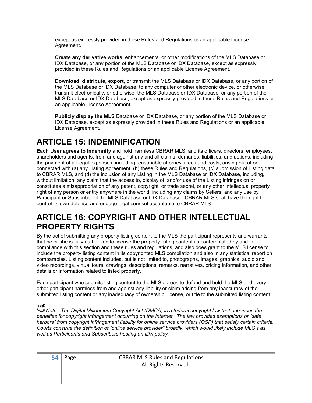except as expressly provided in these Rules and Regulations or an applicable License Agreement.

Create any derivative works, enhancements, or other modifications of the MLS Database or IDX Database, or any portion of the MLS Database or IDX Database, except as expressly provided in these Rules and Regulations or an applicable License Agreement.

Download, distribute, export, or transmit the MLS Database or IDX Database, or any portion of the MLS Database or IDX Database, to any computer or other electronic device, or otherwise transmit electronically, or otherwise, the MLS Database or IDX Database, or any portion of the MLS Database or IDX Database, except as expressly provided in these Rules and Regulations or an applicable License Agreement.

Publicly display the MLS Database or IDX Database, or any portion of the MLS Database or IDX Database, except as expressly provided in these Rules and Regulations or an applicable License Agreement.

# ARTICLE 15: INDEMNIFICATION

Each User agrees to indemnify and hold harmless CBRAR MLS, and its officers, directors, employees, shareholders and agents, from and against any and all claims, demands, liabilities, and actions, including the payment of all legal expenses, including reasonable attorney's fees and costs, arising out of or connected with (a) any Listing Agreement, (b) these Rules and Regulations, (c) submission of Listing data to CBRAR MLS, and (d) the inclusion of any Listing in the MLS Database or IDX Database, including, without limitation, any claim that the access to, display of, and/or use of the Listing infringes on or constitutes a misappropriation of any patent, copyright, or trade secret, or any other intellectual property right of any person or entity anywhere in the world, including any claims by Sellers, and any use by Participant or Subscriber of the MLS Database or IDX Database. CBRAR MLS shall have the right to control its own defense and engage legal counsel acceptable to CBRAR MLS.

# ARTICLE 16: COPYRIGHT AND OTHER INTELLECTUAL PROPERTY RIGHTS

By the act of submitting any property listing content to the MLS the participant represents and warrants that he or she is fully authorized to license the property listing content as contemplated by and in compliance with this section and these rules and regulations, and also does grant to the MLS license to include the property listing content in its copyrighted MLS compilation and also in any statistical report on comparables. Listing content includes, but is not limited to, photographs, images, graphics, audio and video recordings, virtual tours, drawings, descriptions, remarks, narratives, pricing information, and other details or information related to listed property.

Each participant who submits listing content to the MLS agrees to defend and hold the MLS and every other participant harmless from and against any liability or claim arising from any inaccuracy of the submitted listing content or any inadequacy of ownership, license, or title to the submitted listing content.

Note: The Digital Millennium Copyright Act (DMCA) is a federal copyright law that enhances the penalties for copyright infringement occurring on the Internet. The law provides exemptions or "safe harbors" from copyright infringement liability for online service providers (OSP) that satisfy certain criteria. Courts construe the definition of "online service provider" broadly, which would likely include MLS's as well as Participants and Subscribers hosting an IDX policy.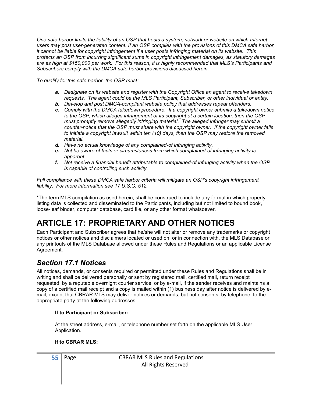One safe harbor limits the liability of an OSP that hosts a system, network or website on which Internet users may post user-generated content. If an OSP complies with the provisions of this DMCA safe harbor, it cannot be liable for copyright infringement if a user posts infringing material on its website. This protects an OSP from incurring significant sums in copyright infringement damages, as statutory damages are as high at \$150,000 per work. For this reason, it is highly recommended that MLS's Participants and Subscribers comply with the DMCA safe harbor provisions discussed herein.

To qualify for this safe harbor, the OSP must:

- a. Designate on its website and register with the Copyright Office an agent to receive takedown requests. The agent could be the MLS Participant, Subscriber, or other individual or entity.
- b. Develop and post DMCA-compliant website policy that addresses repeat offenders.
- c. Comply with the DMCA takedown procedure. If a copyright owner submits a takedown notice to the OSP, which alleges infringement of its copyright at a certain location, then the OSP must promptly remove allegedly infringing material. The alleged infringer may submit a counter-notice that the OSP must share with the copyright owner. If the copyright owner fails to initiate a copyright lawsuit within ten (10) days, then the OSP may restore the removed material.
- d. Have no actual knowledge of any complained-of infringing activity.
- e. Not be aware of facts or circumstances from which complained-of infringing activity is apparent.
- f. Not receive a financial benefit attributable to complained-of infringing activity when the OSP is capable of controlling such activity.

Full compliance with these DMCA safe harbor criteria will mitigate an OSP's copyright infringement liability. For more information see 17 U.S.C. 512.

\*The term MLS compilation as used herein, shall be construed to include any format in which property listing data is collected and disseminated to the Participants, including but not limited to bound book, loose-leaf binder, computer database, card file, or any other format whatsoever.

# ARTICLE 17: PROPRIETARY AND OTHER NOTICES

Each Participant and Subscriber agrees that he/she will not alter or remove any trademarks or copyright notices or other notices and disclaimers located or used on, or in connection with, the MLS Database or any printouts of the MLS Database allowed under these Rules and Regulations or an applicable License Agreement.

# Section 17.1 Notices

All notices, demands, or consents required or permitted under these Rules and Regulations shall be in writing and shall be delivered personally or sent by registered mail, certified mail, return receipt requested, by a reputable overnight courier service, or by e-mail, if the sender receives and maintains a copy of a certified mail receipt and a copy is mailed within (1) business day after notice is delivered by email, except that CBRAR MLS may deliver notices or demands, but not consents, by telephone, to the appropriate party at the following addresses:

#### If to Participant or Subscriber:

At the street address, e-mail, or telephone number set forth on the applicable MLS User Application.

#### If to CBRAR MLS: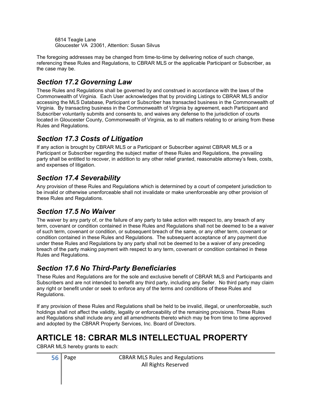6814 Teagle Lane Gloucester VA 23061, Attention: Susan Silvus

The foregoing addresses may be changed from time-to-time by delivering notice of such change, referencing these Rules and Regulations, to CBRAR MLS or the applicable Participant or Subscriber, as the case may be.

# Section 17.2 Governing Law

These Rules and Regulations shall be governed by and construed in accordance with the laws of the Commonwealth of Virginia. Each User acknowledges that by providing Listings to CBRAR MLS and/or accessing the MLS Database, Participant or Subscriber has transacted business in the Commonwealth of Virginia. By transacting business in the Commonwealth of Virginia by agreement, each Participant and Subscriber voluntarily submits and consents to, and waives any defense to the jurisdiction of courts located in Gloucester County, Commonwealth of Virginia, as to all matters relating to or arising from these Rules and Regulations.

# Section 17.3 Costs of Litigation

If any action is brought by CBRAR MLS or a Participant or Subscriber against CBRAR MLS or a Participant or Subscriber regarding the subject matter of these Rules and Regulations, the prevailing party shall be entitled to recover, in addition to any other relief granted, reasonable attorney's fees, costs, and expenses of litigation.

# Section 17.4 Severability

Any provision of these Rules and Regulations which is determined by a court of competent jurisdiction to be invalid or otherwise unenforceable shall not invalidate or make unenforceable any other provision of these Rules and Regulations.

#### Section 17.5 No Waiver

The waiver by any party of, or the failure of any party to take action with respect to, any breach of any term, covenant or condition contained in these Rules and Regulations shall not be deemed to be a waiver of such term, covenant or condition, or subsequent breach of the same, or any other term, covenant or condition contained in these Rules and Regulations. The subsequent acceptance of any payment due under these Rules and Regulations by any party shall not be deemed to be a waiver of any preceding breach of the party making payment with respect to any term, covenant or condition contained in these Rules and Regulations.

# Section 17.6 No Third-Party Beneficiaries

These Rules and Regulations are for the sole and exclusive benefit of CBRAR MLS and Participants and Subscribers and are not intended to benefit any third party, including any Seller. No third party may claim any right or benefit under or seek to enforce any of the terms and conditions of these Rules and Regulations.

If any provision of these Rules and Regulations shall be held to be invalid, illegal, or unenforceable, such holdings shall not affect the validity, legality or enforceability of the remaining provisions. These Rules and Regulations shall include any and all amendments thereto which may be from time to time approved and adopted by the CBRAR Property Services, Inc. Board of Directors.

# ARTICLE 18: CBRAR MLS INTELLECTUAL PROPERTY

CBRAR MLS hereby grants to each: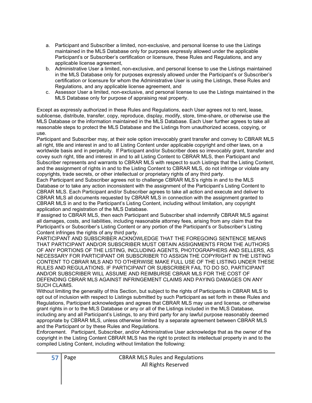- a. Participant and Subscriber a limited, non-exclusive, and personal license to use the Listings maintained in the MLS Database only for purposes expressly allowed under the applicable Participant's or Subscriber's certification or licensure, these Rules and Regulations, and any applicable license agreement,
- b. Administrative User a limited, non-exclusive, and personal license to use the Listings maintained in the MLS Database only for purposes expressly allowed under the Participant's or Subscriber's certification or licensure for whom the Administrative User is using the Listings, these Rules and Regulations, and any applicable license agreement, and
- c. Assessor User a limited, non-exclusive, and personal license to use the Listings maintained in the MLS Database only for purpose of appraising real property.

Except as expressly authorized in these Rules and Regulations, each User agrees not to rent, lease, sublicense, distribute, transfer, copy, reproduce, display, modify, store, time-share, or otherwise use the MLS Database or the information maintained in the MLS Database. Each User further agrees to take all reasonable steps to protect the MLS Database and the Listings from unauthorized access, copying, or use.

Participant and Subscriber may, at their sole option irrevocably grant transfer and convey to CBRAR MLS all right, title and interest in and to all Listing Content under applicable copyright and other laws, on a worldwide basis and in perpetuity. If Participant and/or Subscriber does so irrevocably grant, transfer and covey such right, title and interest in and to all Listing Content to CBRAR MLS, then Participant and Subscriber represents and warrants to CBRAR MLS with respect to such Listings that the Listing Content, and the assignment of rights in and to the Listing Content to CBRAR MLS, do not infringe or violate any copyrights, trade secrets, or other intellectual or proprietary rights of any third party.

Each Participant and Subscriber agrees not to challenge CBRAR MLS's rights in and to the MLS Database or to take any action inconsistent with the assignment of the Participant's Listing Content to CBRAR MLS. Each Participant and/or Subscriber agrees to take all action and execute and deliver to CBRAR MLS all documents requested by CBRAR MLS in connection with the assignment granted to CBRAR MLS in and to the Participant's Listing Content, including without limitation, any copyright application and registration of the MLS Database.

If assigned to CBRAR MLS, then each Participant and Subscriber shall indemnify CBRAR MLS against all damages, costs, and liabilities, including reasonable attorney fees, arising from any claim that the Participant's or Subscriber's Listing Content or any portion of the Participant's or Subscriber's Listing Content infringes the rights of any third party.

PARTICIPANT AND SUBSCRIBER ACKNOWLEDGE THAT THE FOREGOING SENTENCE MEANS THAT PARTICIPANT AND/OR SUBSCRIBER MUST OBTAIN ASSIGNMENTS FROM THE AUTHORS OF ANY PORTIONS OF THE LISTING, INCLUDING AGENTS, PHOTOGRAPHERS AND SELLERS, AS NECESSARY FOR PARTICIPANT OR SUBSCRIBER TO ASSIGN THE COPYRIGHT IN THE LISTING CONTENT TO CBRAR MLS AND TO OTHERWISE MAKE FULL USE OF THE LISTING UNDER THESE RULES AND REGULATIONS. IF PARTICIPANT OR SUBSCRIBER FAIL TO DO SO, PARTICIPANT AND/OR SUBSCRIBER WILL ASSUME AND REIMBURSE CBRAR MLS FOR THE COST OF DEFENDING CBRAR MLS AGAINST INFRINGEMENT CLAIMS AND PAYING DAMAGES ON ANY SUCH CLAIMS.

Without limiting the generality of this Section, but subject to the rights of Participants in CBRAR MLS to opt out of inclusion with respect to Listings submitted by such Participant as set forth in these Rules and Regulations, Participant acknowledges and agrees that CBRAR MLS may use and license, or otherwise grant rights in or to the MLS Database or any or all of the Listings included in the MLS Database, including any and all Participant's Listings, to any third party for any lawful purpose reasonably deemed appropriate by CBRAR MLS, unless otherwise limited by a separate agreement between CBRAR MLS and the Participant or by these Rules and Regulations.

Enforcement. Participant, Subscriber, and/or Administrative User acknowledge that as the owner of the copyright in the Listing Content CBRAR MLS has the right to protect its intellectual property in and to the compiled Listing Content, including without limitation the following: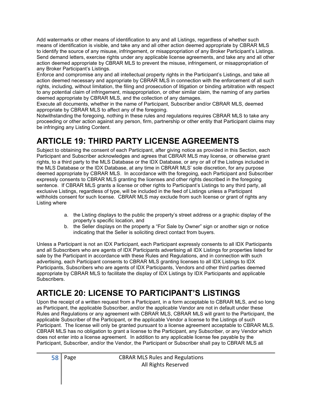Add watermarks or other means of identification to any and all Listings, regardless of whether such means of identification is visible, and take any and all other action deemed appropriate by CBRAR MLS to identify the source of any misuse, infringement, or misappropriation of any Broker Participant's Listings. Send demand letters, exercise rights under any applicable license agreements, and take any and all other action deemed appropriate by CBRAR MLS to prevent the misuse, infringement, or misappropriation of any Broker Participant's Listings.

Enforce and compromise any and all intellectual property rights in the Participant's Listings, and take all action deemed necessary and appropriate by CBRAR MLS in connection with the enforcement of all such rights, including, without limitation, the filing and prosecution of litigation or binding arbitration with respect to any potential claim of infringement, misappropriation, or other similar claim, the naming of any parties deemed appropriate by CBRAR MLS, and the collection of any damages.

Execute all documents, whether in the name of Participant, Subscriber and/or CBRAR MLS, deemed appropriate by CBRAR MLS to affect any of the foregoing.

Notwithstanding the foregoing, nothing in these rules and regulations requires CBRAR MLS to take any proceeding or other action against any person, firm, partnership or other entity that Participant claims may be infringing any Listing Content.

# ARTICLE 19: THIRD PARTY LICENSE AGREEMENTS

Subject to obtaining the consent of each Participant, after giving notice as provided in this Section, each Participant and Subscriber acknowledges and agrees that CBRAR MLS may license, or otherwise grant rights, to a third party to the MLS Database or the IDX Database, or any or all of the Listings included in the MLS Database or the IDX Database, at any time in CBRAR MLS' sole discretion, for any purpose deemed appropriate by CBRAR MLS. In accordance with the foregoing, each Participant and Subscriber expressly consents to CBRAR MLS granting the licenses and other rights described in the foregoing sentence. If CBRAR MLS grants a license or other rights to Participant's Listings to any third party, all exclusive Listings, regardless of type, will be included in the feed of Listings unless a Participant withholds consent for such license. CBRAR MLS may exclude from such license or grant of rights any Listing where

- a. the Listing displays to the public the property's street address or a graphic display of the property's specific location, and
- b. the Seller displays on the property a "For Sale by Owner" sign or another sign or notice indicating that the Seller is soliciting direct contact from buyers.

Unless a Participant is not an IDX Participant, each Participant expressly consents to all IDX Participants and all Subscribers who are agents of IDX Participants advertising all IDX Listings for properties listed for sale by the Participant in accordance with these Rules and Regulations, and in connection with such advertising, each Participant consents to CBRAR MLS granting licenses to all IDX Listings to IDX Participants, Subscribers who are agents of IDX Participants, Vendors and other third parties deemed appropriate by CBRAR MLS to facilitate the display of IDX Listings by IDX Participants and applicable Subscribers.

# ARTICLE 20: LICENSE TO PARTICIPANT'S LISTINGS

Upon the receipt of a written request from a Participant, in a form acceptable to CBRAR MLS, and so long as Participant, the applicable Subscriber, and/or the applicable Vendor are not in default under these Rules and Regulations or any agreement with CBRAR MLS, CBRAR MLS will grant to the Participant, the applicable Subscriber of the Participant, or the applicable Vendor a license to the Listings of such Participant. The license will only be granted pursuant to a license agreement acceptable to CBRAR MLS. CBRAR MLS has no obligation to grant a license to the Participant, any Subscriber, or any Vendor which does not enter into a license agreement. In addition to any applicable license fee payable by the Participant, Subscriber, and/or the Vendor, the Participant or Subscriber shall pay to CBRAR MLS all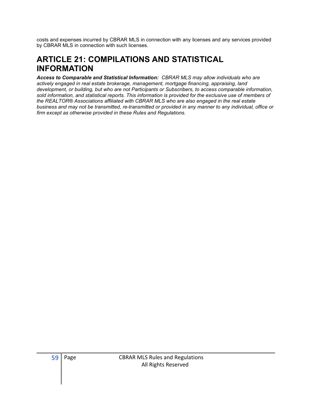costs and expenses incurred by CBRAR MLS in connection with any licenses and any services provided by CBRAR MLS in connection with such licenses.

# ARTICLE 21: COMPILATIONS AND STATISTICAL INFORMATION

Access to Comparable and Statistical Information: CBRAR MLS may allow individuals who are actively engaged in real estate brokerage, management, mortgage financing, appraising, land development, or building, but who are not Participants or Subscribers, to access comparable information, sold information, and statistical reports. This information is provided for the exclusive use of members of the REALTOR® Associations affiliated with CBRAR MLS who are also engaged in the real estate business and may not be transmitted, re-transmitted or provided in any manner to any individual, office or firm except as otherwise provided in these Rules and Regulations.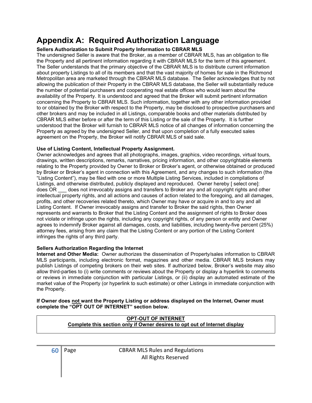# Appendix A: Required Authorization Language

#### Sellers Authorization to Submit Property Information to CBRAR MLS

The undersigned Seller is aware that the Broker, as a member of CBRAR MLS, has an obligation to file the Property and all pertinent information regarding it with CBRAR MLS for the term of this agreement. The Seller understands that the primary objective of the CBRAR MLS is to distribute current information about property Listings to all of its members and that the vast majority of homes for sale in the Richmond Metropolitan area are marketed through the CBRAR MLS database. The Seller acknowledges that by not allowing the publication of their Property in the CBRAR MLS database, the Seller will substantially reduce the number of potential purchasers and cooperating real estate offices who would learn about the availability of the Property. It is understood and agreed that the Broker will submit pertinent information concerning the Property to CBRAR MLS. Such information, together with any other information provided to or obtained by the Broker with respect to the Property, may be disclosed to prospective purchasers and other brokers and may be included in all Listings, comparable books and other materials distributed by CBRAR MLS either before or after the term of this Listing or the sale of the Property. It is further understood that the Broker will furnish to CBRAR MLS notice of all changes of information concerning the Property as agreed by the undersigned Seller, and that upon completion of a fully executed sales agreement on the Property, the Broker will notify CBRAR MLS of said sale.

#### Use of Listing Content, Intellectual Property Assignment.

Owner acknowledges and agrees that all photographs, images, graphics, video recordings, virtual tours, drawings, written descriptions, remarks, narratives, pricing information, and other copyrightable elements relating to the Property provided by Owner to Broker or Broker's agent, or otherwise obtained or produced by Broker or Broker's agent in connection with this Agreement, and any changes to such information (the "Listing Content"), may be filed with one or more Multiple Listing Services, included in compilations of Listings, and otherwise distributed, publicly displayed and reproduced. Owner hereby [ select one]: does OR does not irrevocably assigns and transfers to Broker any and all copyright rights and other intellectual property rights, and all actions and causes of action related to the foregoing, and all damages, profits, and other recoveries related thereto, which Owner may have or acquire in and to any and all Listing Content. If Owner irrevocably assigns and transfer to Broker the said rights, then Owner represents and warrants to Broker that the Listing Content and the assignment of rights to Broker does not violate or infringe upon the rights, including any copyright rights, of any person or entity and Owner agrees to indemnify Broker against all damages, costs, and liabilities, including twenty-five percent (25%) attorney fees, arising from any claim that the Listing Content or any portion of the Listing Content infringes the rights of any third party.

#### Sellers Authorization Regarding the Internet

Internet and Other Media: Owner authorizes the dissemination of Property/sales information to CBRAR MLS participants, including electronic format, magazines and other media. CBRAR MLS brokers may publish Listings of competing brokers on their web sites. If authorized below, Broker's website may also allow third-parties to (i) write comments or reviews about the Property or display a hyperlink to comments or reviews in immediate conjunction with particular Listings, or (ii) display an automated estimate of the market value of the Property (or hyperlink to such estimate) or other Listings in immediate conjunction with the Property.

#### If Owner does not want the Property Listing or address displayed on the Internet, Owner must complete the "OPT OUT OF INTERNET" section below.

#### OPT-OUT OF INTERNET Complete this section only if Owner desires to opt out of Internet display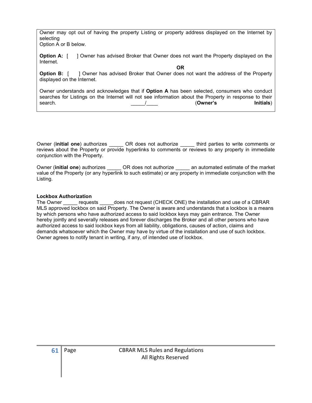Owner may opt out of having the property Listing or property address displayed on the Internet by selecting Option A or B below.

**Option A:** [ ] Owner has advised Broker that Owner does not want the Property displayed on the Internet.

**OR** Service of the contract of the contract of the contract of the contract of the contract of the contract of the contract of the contract of the contract of the contract of the contract of the contract of the contract o **Option B:** [ ] Owner has advised Broker that Owner does not want the address of the Property displayed on the Internet.

Owner understands and acknowledges that if Option A has been selected, consumers who conduct searches for Listings on the Internet will not see information about the Property in response to their search.  $\frac{1}{\sqrt{2\pi}}$  (Owner's Initials) 

Owner (initial one) authorizes **OR** does not authorize third parties to write comments or reviews about the Property or provide hyperlinks to comments or reviews to any property in immediate conjunction with the Property.

Owner (initial one) authorizes **OR** does not authorize an automated estimate of the market value of the Property (or any hyperlink to such estimate) or any property in immediate conjunction with the Listing.

#### Lockbox Authorization

The Owner equests does not request (CHECK ONE) the installation and use of a CBRAR MLS approved lockbox on said Property. The Owner is aware and understands that a lockbox is a means by which persons who have authorized access to said lockbox keys may gain entrance. The Owner hereby jointly and severally releases and forever discharges the Broker and all other persons who have authorized access to said lockbox keys from all liability, obligations, causes of action, claims and demands whatsoever which the Owner may have by virtue of the installation and use of such lockbox. Owner agrees to notify tenant in writing, if any, of intended use of lockbox.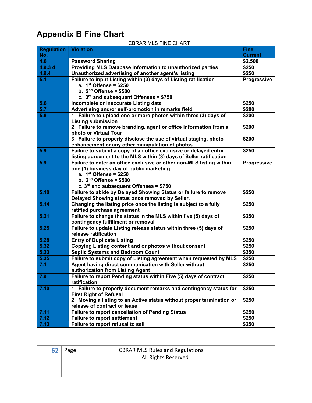# Appendix B Fine Chart

| <b>Regulation</b> | <b>Violation</b>                                                                                                                            | <b>Fine</b>        |
|-------------------|---------------------------------------------------------------------------------------------------------------------------------------------|--------------------|
| No.               |                                                                                                                                             | <b>Current</b>     |
| 4.6               | <b>Password Sharing</b>                                                                                                                     | \$2,500            |
| 4.9.3 d           | Providing MLS Database information to unauthorized parties                                                                                  | \$250              |
| 4.9.4             | Unauthorized advertising of another agent's listing                                                                                         | \$250              |
| 5.1               | Failure to input Listing within (3) days of Listing ratification                                                                            | Progressive        |
|                   | a. $1st$ Offense = \$250                                                                                                                    |                    |
|                   | b. $2nd$ Offense = \$500                                                                                                                    |                    |
|                   | c. $3rd$ and subsequent Offenses = \$750                                                                                                    |                    |
| 5.6               | Incomplete or Inaccurate Listing data                                                                                                       | \$250              |
| 5.7               | Advertising and/or self-promotion in remarks field                                                                                          | \$200              |
| 5.8               | 1. Failure to upload one or more photos within three (3) days of                                                                            | \$200              |
|                   | <b>Listing submission</b>                                                                                                                   |                    |
|                   | 2. Failure to remove branding, agent or office information from a                                                                           | \$200              |
|                   | photo or Virtual Tour                                                                                                                       |                    |
|                   | 3. Failure to properly disclose the use of virtual staging, photo                                                                           | \$200              |
|                   | enhancement or any other manipulation of photos                                                                                             |                    |
| 5.9               | Failure to submit a copy of an office exclusive or delayed entry                                                                            | \$250              |
| 5.9               | listing agreement to the MLS within (3) days of Seller ratification<br>Failure to enter an office exclusive or other non-MLS listing within | <b>Progressive</b> |
|                   | one (1) business day of public marketing                                                                                                    |                    |
|                   | a. $1st$ Offense = \$250                                                                                                                    |                    |
|                   | b. $2nd$ Offense = \$500                                                                                                                    |                    |
|                   | c. $3rd$ and subsequent Offenses = \$750                                                                                                    |                    |
| 5.10              | Failure to abide by Delayed Showing Status or failure to remove                                                                             | \$250              |
|                   | Delayed Showing status once removed by Seller.                                                                                              |                    |
| 5.14              | Changing the listing price once the listing is subject to a fully                                                                           | \$250              |
|                   | ratified purchase agreement                                                                                                                 |                    |
| 5.21              | Failure to change the status in the MLS within five (5) days of                                                                             | \$250              |
|                   | contingency fulfillment or removal                                                                                                          |                    |
| 5.25              | Failure to update Listing release status within three (5) days of                                                                           | \$250              |
|                   | release ratification                                                                                                                        |                    |
| 5.28              | <b>Entry of Duplicate Listing</b>                                                                                                           | \$250              |
| 5.32              | Copying Listing content and or photos without consent                                                                                       | \$250              |
| 5.33              | <b>Septic Systems and Bedroom Count</b>                                                                                                     | \$350              |
| 5.35              | Failure to submit copy of Listing agreement when requested by MLS                                                                           | \$250              |
| 7.1               | Agent having direct communication with Seller without                                                                                       | \$250              |
|                   | authorization from Listing Agent                                                                                                            |                    |
| 7.9               | Failure to report Pending status within Five (5) days of contract                                                                           | \$250              |
|                   | ratification                                                                                                                                |                    |
| 7.10              | 1. Failure to properly document remarks and contingency status for                                                                          | \$250              |
|                   | <b>First Right of Refusal</b>                                                                                                               |                    |
|                   | 2. Moving a listing to an Active status without proper termination or                                                                       | \$250              |
|                   | release of contract or lease                                                                                                                |                    |
| 7.11              | <b>Failure to report cancellation of Pending Status</b>                                                                                     | \$250              |
| 7.12              | <b>Failure to report settlement</b>                                                                                                         | \$250              |
| 7.13              | Failure to report refusal to sell                                                                                                           | \$250              |

#### CBRAR MLS FINE CHART